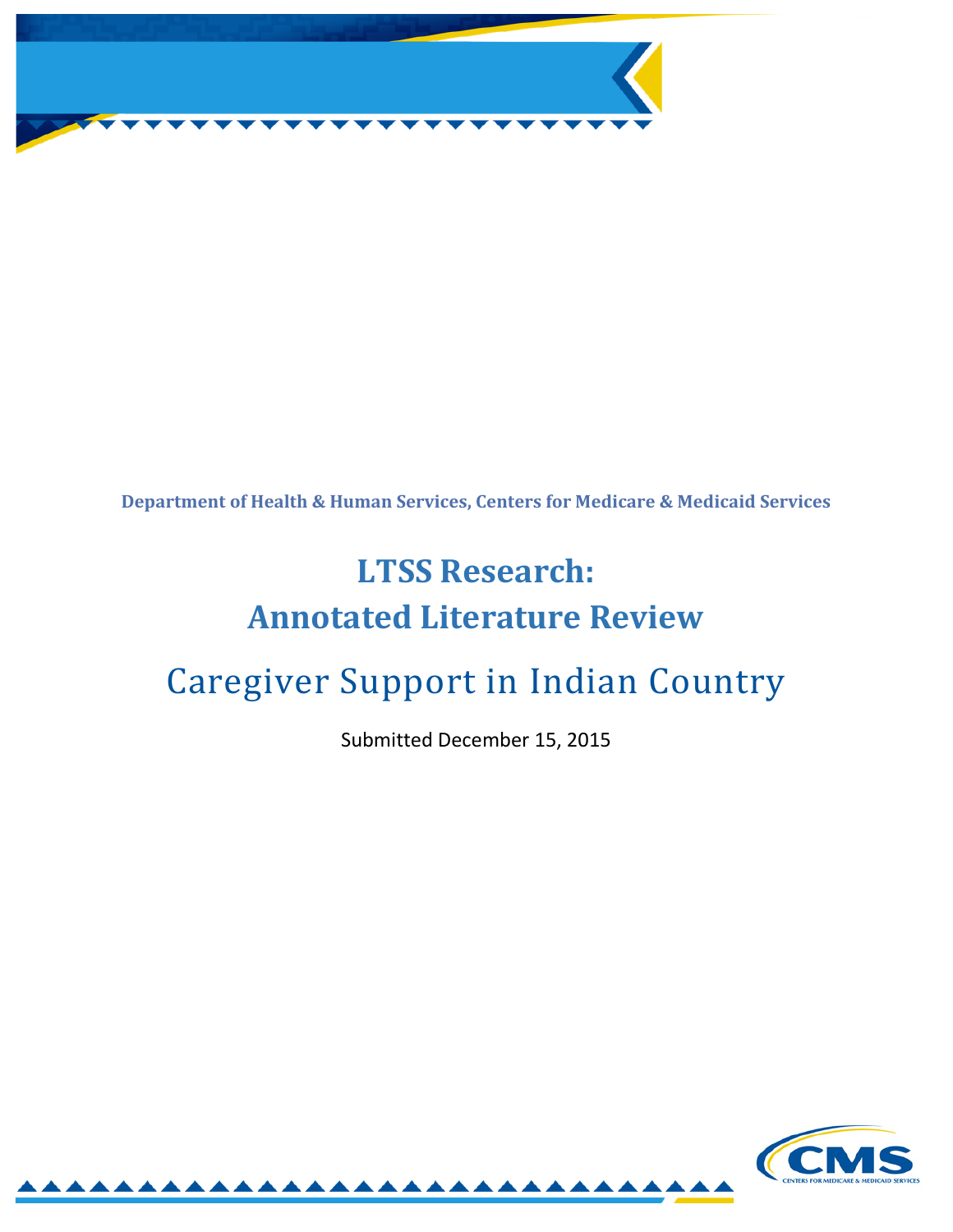

**Department of Health & Human Services, Centers for Medicare & Medicaid Services**

# **LTSS Research: Annotated Literature Review**

# Caregiver Support in Indian Country

Submitted December 15, 2015

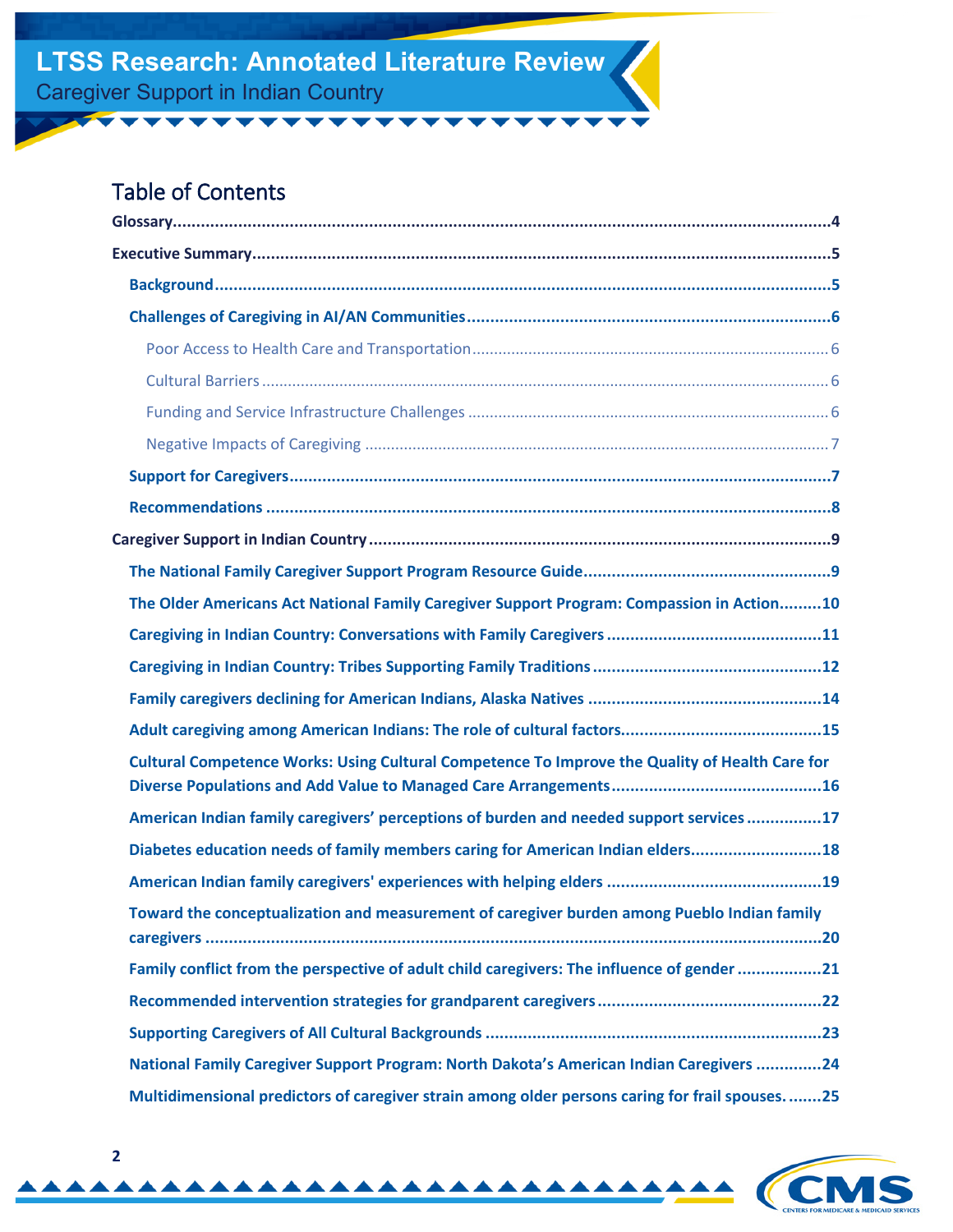### Table of Contents

| The Older Americans Act National Family Caregiver Support Program: Compassion in Action10      |  |  |
|------------------------------------------------------------------------------------------------|--|--|
|                                                                                                |  |  |
|                                                                                                |  |  |
|                                                                                                |  |  |
|                                                                                                |  |  |
| Cultural Competence Works: Using Cultural Competence To Improve the Quality of Health Care for |  |  |
| American Indian family caregivers' perceptions of burden and needed support services17         |  |  |
| Diabetes education needs of family members caring for American Indian elders18                 |  |  |
|                                                                                                |  |  |
| Toward the conceptualization and measurement of caregiver burden among Pueblo Indian family    |  |  |
| Family conflict from the perspective of adult child caregivers: The influence of gender 21     |  |  |
|                                                                                                |  |  |
|                                                                                                |  |  |
| National Family Caregiver Support Program: North Dakota's American Indian Caregivers 24        |  |  |
| Multidimensional predictors of caregiver strain among older persons caring for frail spouses25 |  |  |

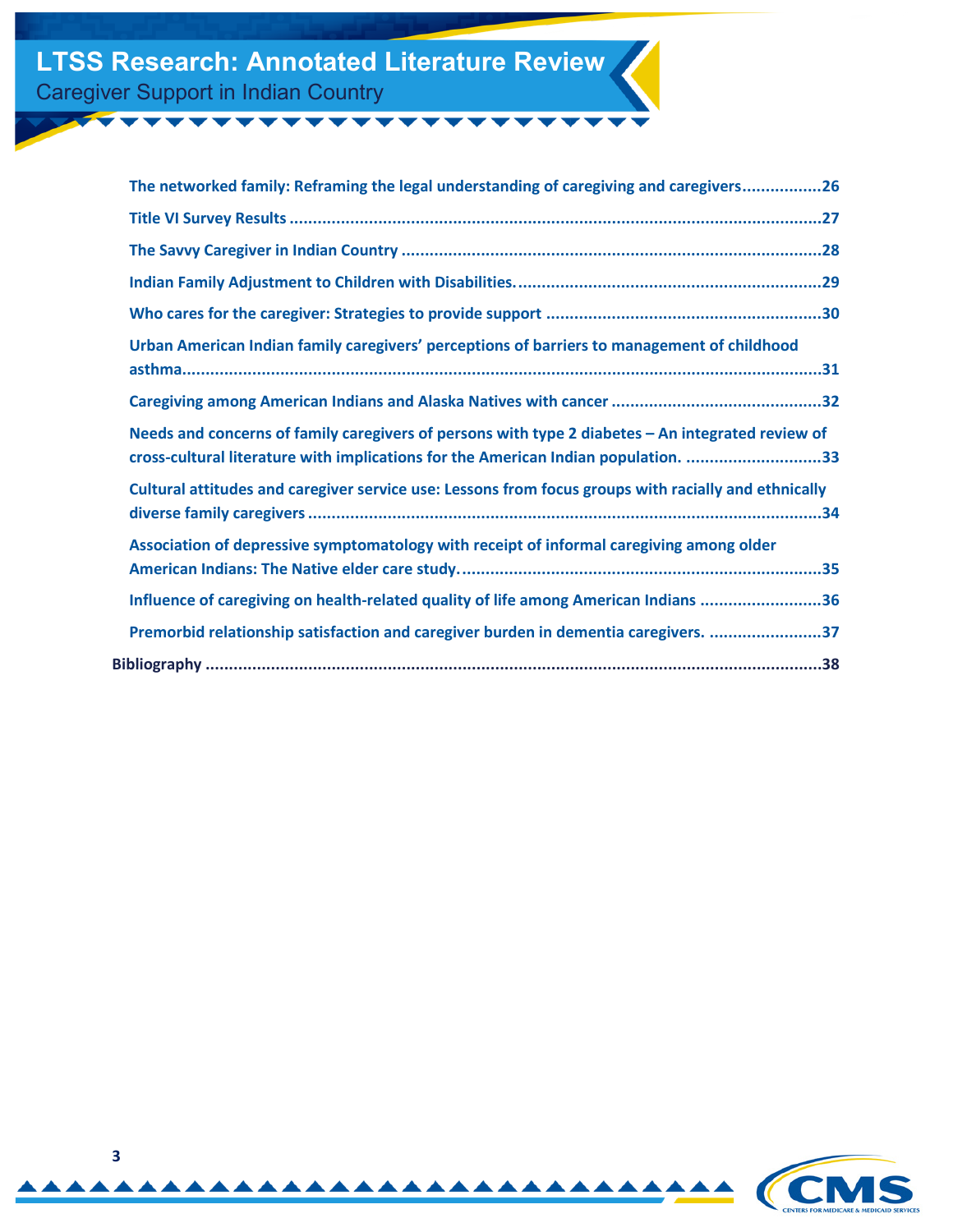| The networked family: Reframing the legal understanding of caregiving and caregivers26                                                                                                  |
|-----------------------------------------------------------------------------------------------------------------------------------------------------------------------------------------|
|                                                                                                                                                                                         |
|                                                                                                                                                                                         |
|                                                                                                                                                                                         |
|                                                                                                                                                                                         |
| Urban American Indian family caregivers' perceptions of barriers to management of childhood                                                                                             |
|                                                                                                                                                                                         |
| Needs and concerns of family caregivers of persons with type 2 diabetes - An integrated review of<br>cross-cultural literature with implications for the American Indian population. 33 |
| Cultural attitudes and caregiver service use: Lessons from focus groups with racially and ethnically                                                                                    |
| Association of depressive symptomatology with receipt of informal caregiving among older                                                                                                |
| Influence of caregiving on health-related quality of life among American Indians 36                                                                                                     |
| Premorbid relationship satisfaction and caregiver burden in dementia caregivers. 37                                                                                                     |
|                                                                                                                                                                                         |
|                                                                                                                                                                                         |

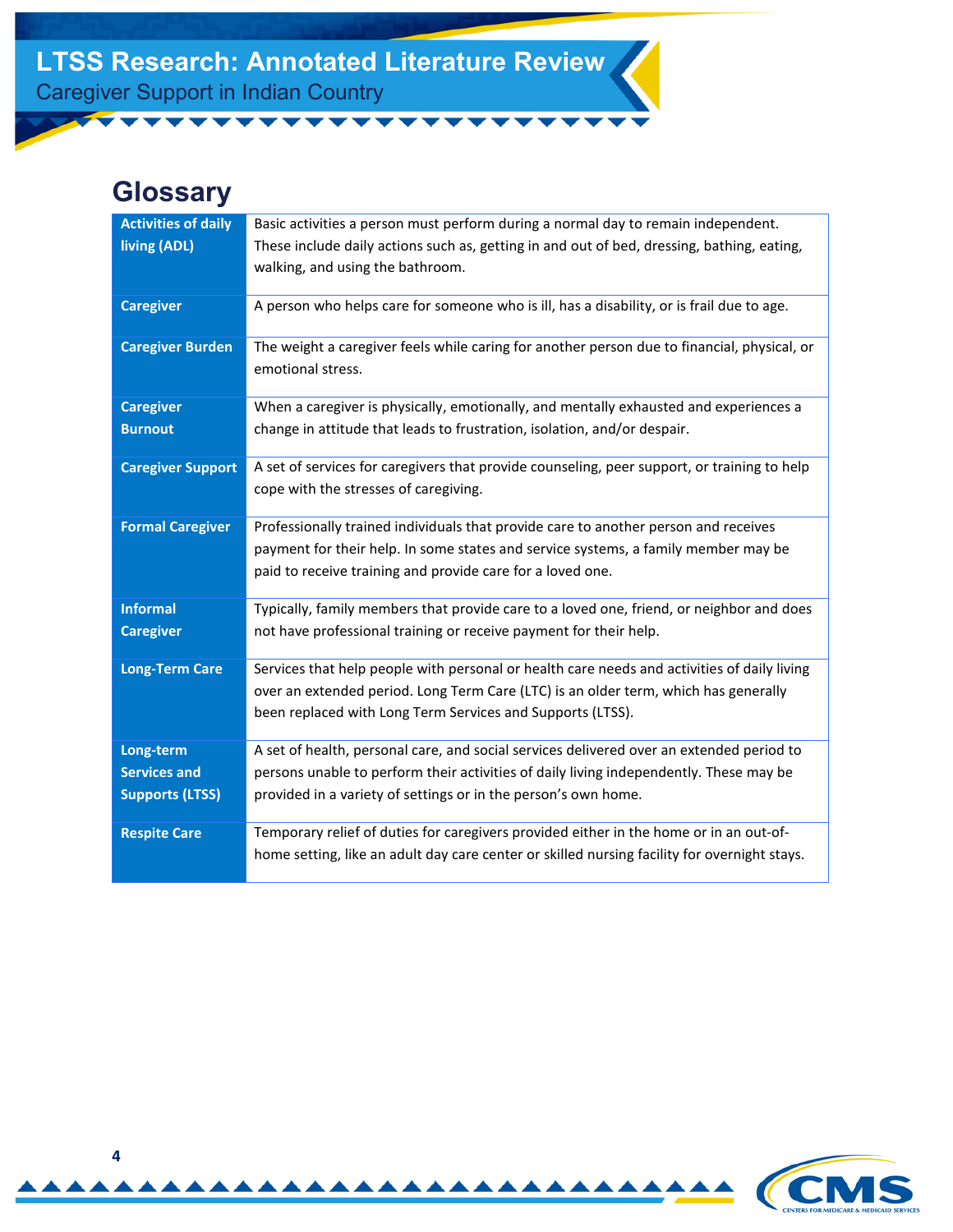# <span id="page-3-0"></span>**Glossary**

| <b>Activities of daily</b><br>living (ADL) | Basic activities a person must perform during a normal day to remain independent.<br>These include daily actions such as, getting in and out of bed, dressing, bathing, eating,                                                         |
|--------------------------------------------|-----------------------------------------------------------------------------------------------------------------------------------------------------------------------------------------------------------------------------------------|
|                                            | walking, and using the bathroom.                                                                                                                                                                                                        |
| <b>Caregiver</b>                           | A person who helps care for someone who is ill, has a disability, or is frail due to age.                                                                                                                                               |
| <b>Caregiver Burden</b>                    | The weight a caregiver feels while caring for another person due to financial, physical, or<br>emotional stress.                                                                                                                        |
| <b>Caregiver</b>                           | When a caregiver is physically, emotionally, and mentally exhausted and experiences a                                                                                                                                                   |
| <b>Burnout</b>                             | change in attitude that leads to frustration, isolation, and/or despair.                                                                                                                                                                |
| <b>Caregiver Support</b>                   | A set of services for caregivers that provide counseling, peer support, or training to help<br>cope with the stresses of caregiving.                                                                                                    |
| <b>Formal Caregiver</b>                    | Professionally trained individuals that provide care to another person and receives<br>payment for their help. In some states and service systems, a family member may be<br>paid to receive training and provide care for a loved one. |
| <b>Informal</b>                            | Typically, family members that provide care to a loved one, friend, or neighbor and does                                                                                                                                                |
| <b>Caregiver</b>                           | not have professional training or receive payment for their help.                                                                                                                                                                       |
| <b>Long-Term Care</b>                      | Services that help people with personal or health care needs and activities of daily living<br>over an extended period. Long Term Care (LTC) is an older term, which has generally                                                      |
|                                            | been replaced with Long Term Services and Supports (LTSS).                                                                                                                                                                              |
| Long-term                                  | A set of health, personal care, and social services delivered over an extended period to                                                                                                                                                |
| <b>Services and</b>                        | persons unable to perform their activities of daily living independently. These may be                                                                                                                                                  |
| <b>Supports (LTSS)</b>                     | provided in a variety of settings or in the person's own home.                                                                                                                                                                          |
| <b>Respite Care</b>                        | Temporary relief of duties for caregivers provided either in the home or in an out-of-<br>home setting, like an adult day care center or skilled nursing facility for overnight stays.                                                  |

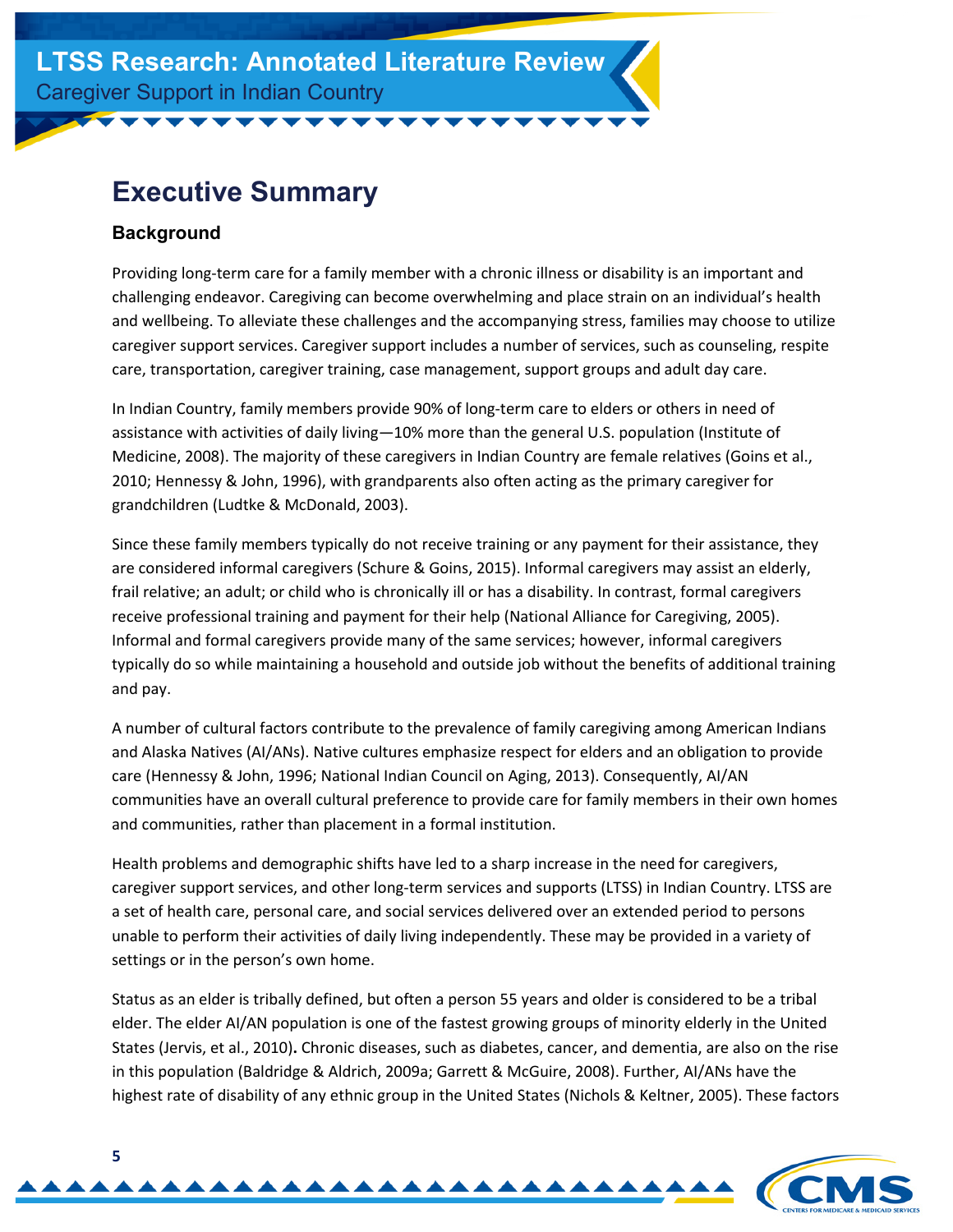## <span id="page-4-0"></span>**Executive Summary**

#### <span id="page-4-1"></span>**Background**

Providing long-term care for a family member with a chronic illness or disability is an important and challenging endeavor. Caregiving can become overwhelming and place strain on an individual's health and wellbeing. To alleviate these challenges and the accompanying stress, families may choose to utilize caregiver support services. Caregiver support includes a number of services, such as counseling, respite care, transportation, caregiver training, case management, support groups and adult day care.

In Indian Country, family members provide 90% of long-term care to elders or others in need of assistance with activities of daily living—10% more than the general U.S. population (Institute of Medicine, 2008). The majority of these caregivers in Indian Country are female relatives (Goins et al., 2010; Hennessy & John, 1996), with grandparents also often acting as the primary caregiver for grandchildren (Ludtke & McDonald, 2003).

Since these family members typically do not receive training or any payment for their assistance, they are considered informal caregivers (Schure & Goins, 2015). Informal caregivers may assist an elderly, frail relative; an adult; or child who is chronically ill or has a disability. In contrast, formal caregivers receive professional training and payment for their help (National Alliance for Caregiving, 2005). Informal and formal caregivers provide many of the same services; however, informal caregivers typically do so while maintaining a household and outside job without the benefits of additional training and pay.

A number of cultural factors contribute to the prevalence of family caregiving among American Indians and Alaska Natives (AI/ANs). Native cultures emphasize respect for elders and an obligation to provide care (Hennessy & John, 1996; National Indian Council on Aging, 2013). Consequently, AI/AN communities have an overall cultural preference to provide care for family members in their own homes and communities, rather than placement in a formal institution.

Health problems and demographic shifts have led to a sharp increase in the need for caregivers, caregiver support services, and other long-term services and supports (LTSS) in Indian Country. LTSS are a set of health care, personal care, and social services delivered over an extended period to persons unable to perform their activities of daily living independently. These may be provided in a variety of settings or in the person's own home.

Status as an elder is tribally defined, but often a person 55 years and older is considered to be a tribal elder. The elder AI/AN population is one of the fastest growing groups of minority elderly in the United States (Jervis, et al., 2010)**.** Chronic diseases, such as diabetes, cancer, and dementia, are also on the rise in this population (Baldridge & Aldrich, 2009a; Garrett & McGuire, 2008). Further, AI/ANs have the highest rate of disability of any ethnic group in the United States (Nichols & Keltner, 2005). These factors

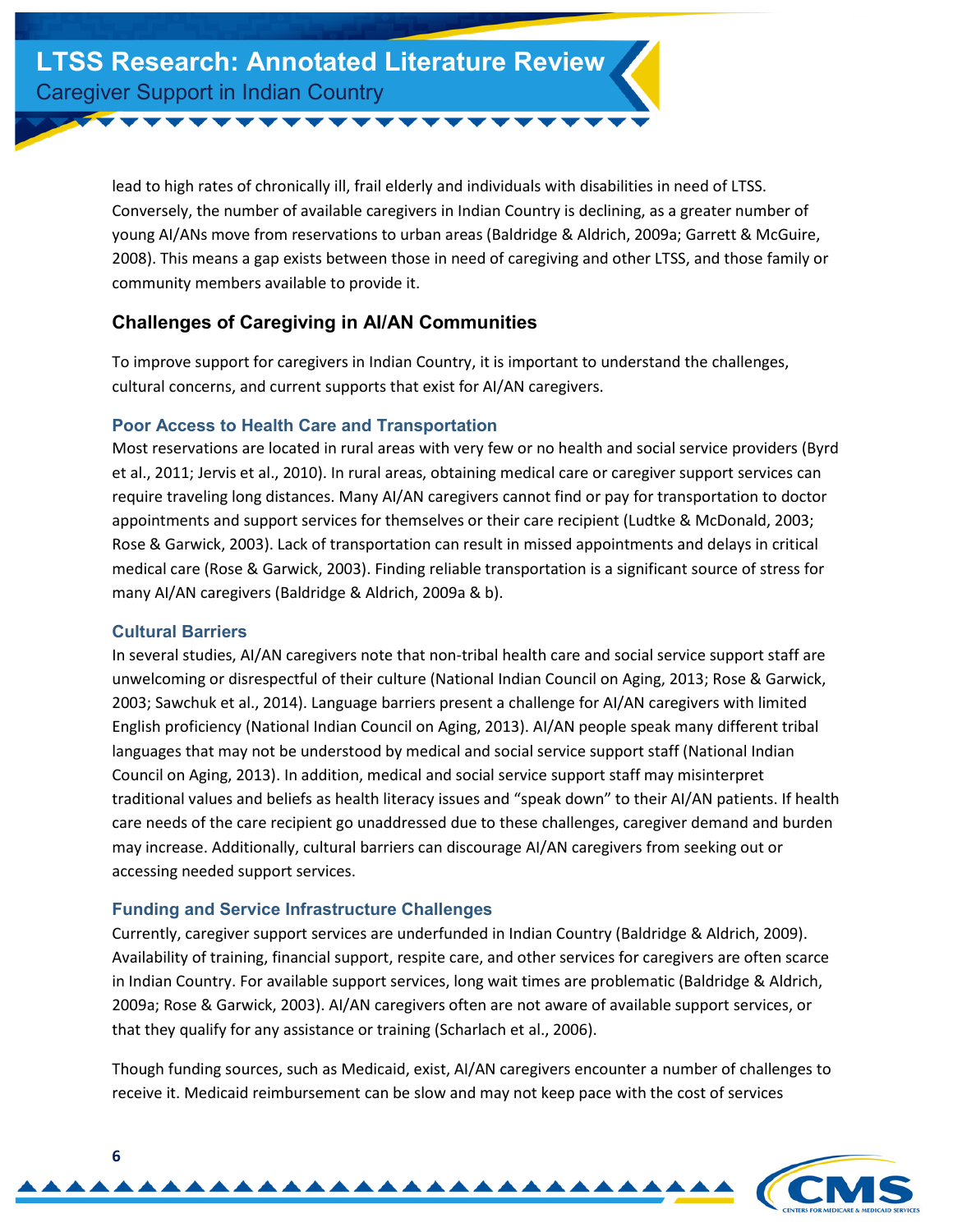lead to high rates of chronically ill, frail elderly and individuals with disabilities in need of LTSS. Conversely, the number of available caregivers in Indian Country is declining, as a greater number of young AI/ANs move from reservations to urban areas (Baldridge & Aldrich, 2009a; Garrett & McGuire, 2008). This means a gap exists between those in need of caregiving and other LTSS, and those family or community members available to provide it.

#### <span id="page-5-0"></span>**Challenges of Caregiving in AI/AN Communities**

To improve support for caregivers in Indian Country, it is important to understand the challenges, cultural concerns, and current supports that exist for AI/AN caregivers.

#### <span id="page-5-1"></span>**Poor Access to Health Care and Transportation**

Most reservations are located in rural areas with very few or no health and social service providers (Byrd et al., 2011; Jervis et al., 2010). In rural areas, obtaining medical care or caregiver support services can require traveling long distances. Many AI/AN caregivers cannot find or pay for transportation to doctor appointments and support services for themselves or their care recipient (Ludtke & McDonald, 2003; Rose & Garwick, 2003). Lack of transportation can result in missed appointments and delays in critical medical care (Rose & Garwick, 2003). Finding reliable transportation is a significant source of stress for many AI/AN caregivers (Baldridge & Aldrich, 2009a & b).

#### <span id="page-5-2"></span>**Cultural Barriers**

In several studies, AI/AN caregivers note that non-tribal health care and social service support staff are unwelcoming or disrespectful of their culture (National Indian Council on Aging, 2013; Rose & Garwick, 2003; Sawchuk et al., 2014). Language barriers present a challenge for AI/AN caregivers with limited English proficiency (National Indian Council on Aging, 2013). AI/AN people speak many different tribal languages that may not be understood by medical and social service support staff (National Indian Council on Aging, 2013). In addition, medical and social service support staff may misinterpret traditional values and beliefs as health literacy issues and "speak down" to their AI/AN patients. If health care needs of the care recipient go unaddressed due to these challenges, caregiver demand and burden may increase. Additionally, cultural barriers can discourage AI/AN caregivers from seeking out or accessing needed support services.

#### <span id="page-5-3"></span>**Funding and Service Infrastructure Challenges**

Currently, caregiver support services are underfunded in Indian Country (Baldridge & Aldrich, 2009). Availability of training, financial support, respite care, and other services for caregivers are often scarce in Indian Country. For available support services, long wait times are problematic (Baldridge & Aldrich, 2009a; Rose & Garwick, 2003). AI/AN caregivers often are not aware of available support services, or that they qualify for any assistance or training (Scharlach et al., 2006).

Though funding sources, such as Medicaid, exist, AI/AN caregivers encounter a number of challenges to receive it. Medicaid reimbursement can be slow and may not keep pace with the cost of services

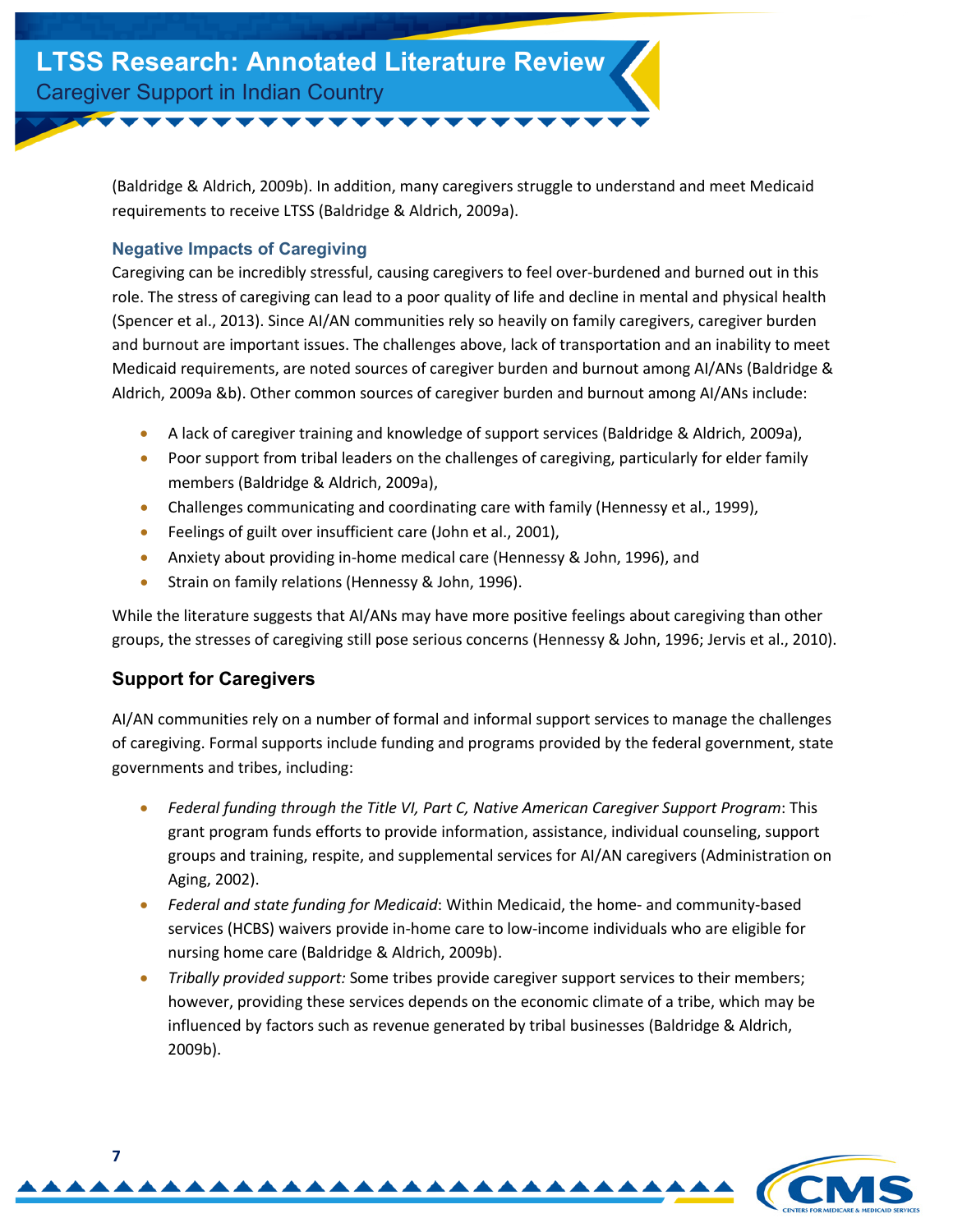(Baldridge & Aldrich, 2009b). In addition, many caregivers struggle to understand and meet Medicaid requirements to receive LTSS (Baldridge & Aldrich, 2009a).

#### <span id="page-6-0"></span>**Negative Impacts of Caregiving**

Caregiving can be incredibly stressful, causing caregivers to feel over-burdened and burned out in this role. The stress of caregiving can lead to a poor quality of life and decline in mental and physical health (Spencer et al., 2013). Since AI/AN communities rely so heavily on family caregivers, caregiver burden and burnout are important issues. The challenges above, lack of transportation and an inability to meet Medicaid requirements, are noted sources of caregiver burden and burnout among AI/ANs (Baldridge & Aldrich, 2009a &b). Other common sources of caregiver burden and burnout among AI/ANs include:

- A lack of caregiver training and knowledge of support services (Baldridge & Aldrich, 2009a),
- Poor support from tribal leaders on the challenges of caregiving, particularly for elder family members (Baldridge & Aldrich, 2009a),
- Challenges communicating and coordinating care with family (Hennessy et al., 1999),
- Feelings of guilt over insufficient care (John et al., 2001),
- Anxiety about providing in-home medical care (Hennessy & John, 1996), and
- Strain on family relations (Hennessy & John, 1996).

While the literature suggests that AI/ANs may have more positive feelings about caregiving than other groups, the stresses of caregiving still pose serious concerns (Hennessy & John, 1996; Jervis et al., 2010).

#### <span id="page-6-1"></span>**Support for Caregivers**

AI/AN communities rely on a number of formal and informal support services to manage the challenges of caregiving. Formal supports include funding and programs provided by the federal government, state governments and tribes, including:

- *Federal funding through the Title VI, Part C, Native American Caregiver Support Program*: This grant program funds efforts to provide information, assistance, individual counseling, support groups and training, respite, and supplemental services for AI/AN caregivers (Administration on Aging, 2002).
- *Federal and state funding for Medicaid*: Within Medicaid, the home- and community-based services (HCBS) waivers provide in-home care to low-income individuals who are eligible for nursing home care (Baldridge & Aldrich, 2009b).
- *Tribally provided support:* Some tribes provide caregiver support services to their members; however, providing these services depends on the economic climate of a tribe, which may be influenced by factors such as revenue generated by tribal businesses (Baldridge & Aldrich, 2009b).

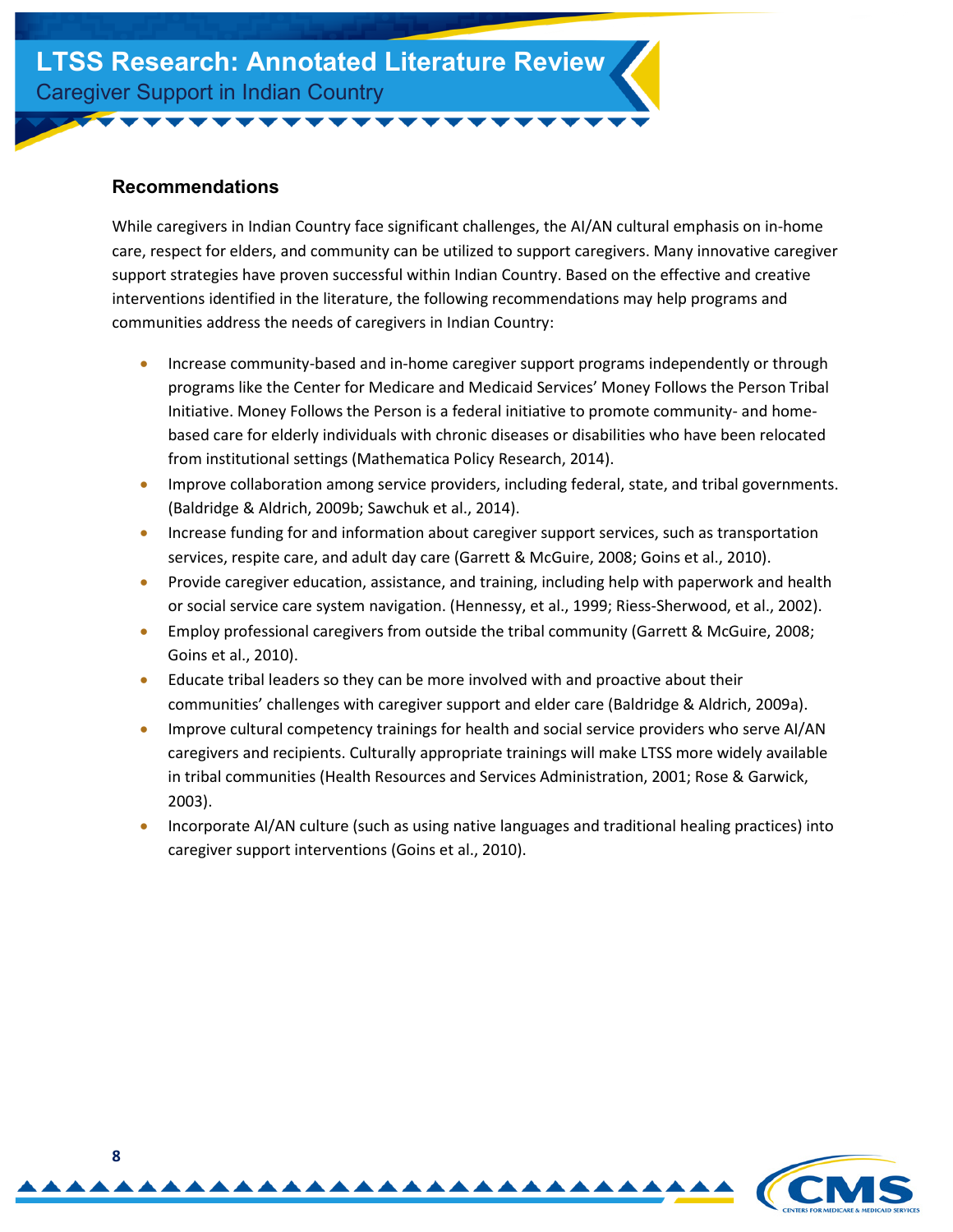#### <span id="page-7-0"></span>**Recommendations**

While caregivers in Indian Country face significant challenges, the AI/AN cultural emphasis on in-home care, respect for elders, and community can be utilized to support caregivers. Many innovative caregiver support strategies have proven successful within Indian Country. Based on the effective and creative interventions identified in the literature, the following recommendations may help programs and communities address the needs of caregivers in Indian Country:

- Increase community-based and in-home caregiver support programs independently or through programs like the Center for Medicare and Medicaid Services' Money Follows the Person Tribal Initiative. Money Follows the Person is a federal initiative to promote community- and homebased care for elderly individuals with chronic diseases or disabilities who have been relocated from institutional settings (Mathematica Policy Research, 2014).
- Improve collaboration among service providers, including federal, state, and tribal governments. (Baldridge & Aldrich, 2009b; Sawchuk et al., 2014).
- Increase funding for and information about caregiver support services, such as transportation services, respite care, and adult day care (Garrett & McGuire, 2008; Goins et al., 2010).
- Provide caregiver education, assistance, and training, including help with paperwork and health or social service care system navigation. (Hennessy, et al., 1999; Riess-Sherwood, et al., 2002).
- Employ professional caregivers from outside the tribal community (Garrett & McGuire, 2008; Goins et al., 2010).
- Educate tribal leaders so they can be more involved with and proactive about their communities' challenges with caregiver support and elder care (Baldridge & Aldrich, 2009a).
- Improve cultural competency trainings for health and social service providers who serve AI/AN caregivers and recipients. Culturally appropriate trainings will make LTSS more widely available in tribal communities (Health Resources and Services Administration, 2001; Rose & Garwick, 2003).
- <span id="page-7-1"></span>• Incorporate AI/AN culture (such as using native languages and traditional healing practices) into caregiver support interventions (Goins et al., 2010).

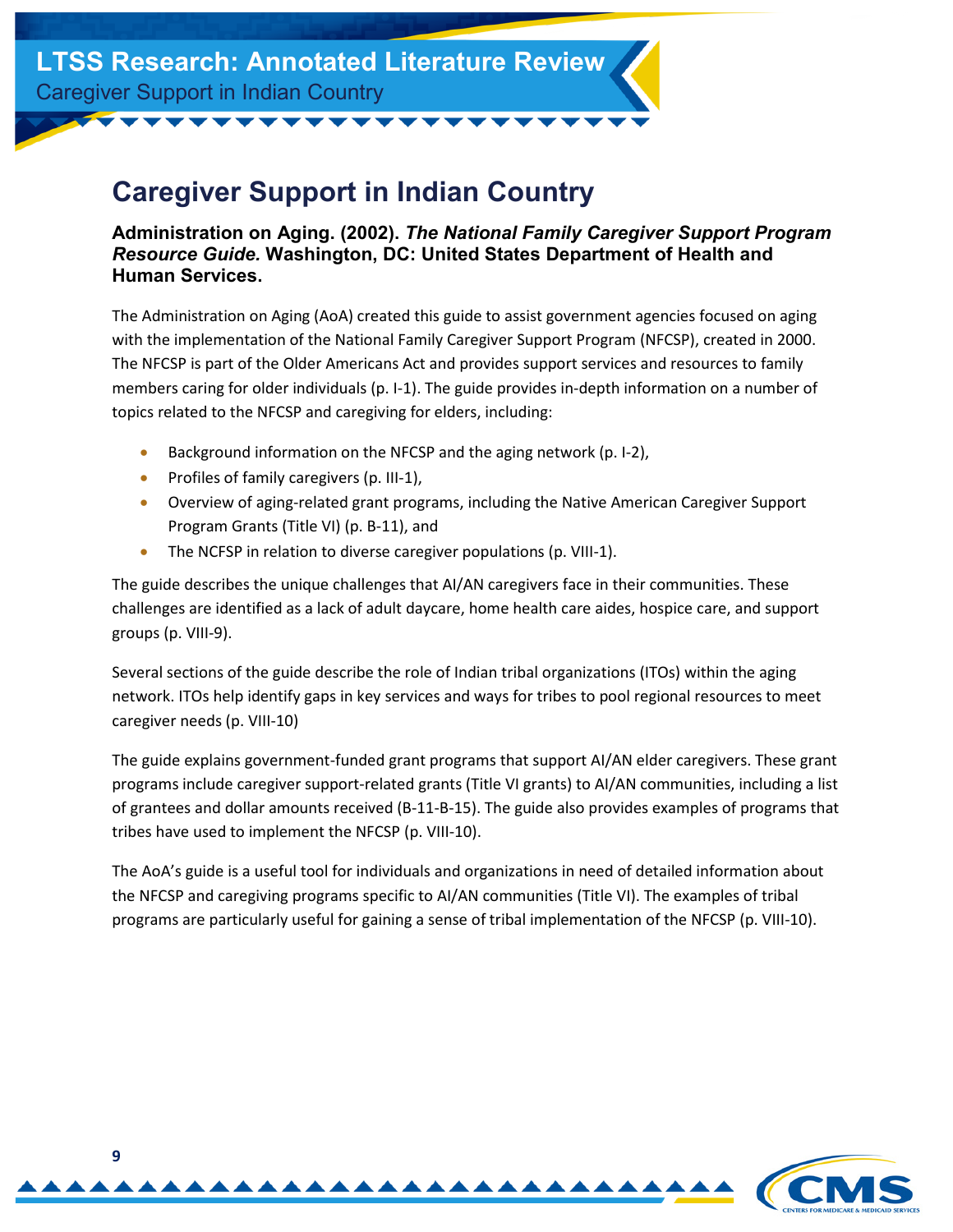# **Caregiver Support in Indian Country**

#### <span id="page-8-0"></span>**Administration on Aging. (2002).** *The National Family Caregiver Support Program Resource Guide.* **Washington, DC: United States Department of Health and Human Services.**

The Administration on Aging (AoA) created this guide to assist government agencies focused on aging with the implementation of the National Family Caregiver Support Program (NFCSP), created in 2000. The NFCSP is part of the Older Americans Act and provides support services and resources to family members caring for older individuals (p. I-1). The guide provides in-depth information on a number of topics related to the NFCSP and caregiving for elders, including:

- Background information on the NFCSP and the aging network (p. I-2),
- Profiles of family caregivers (p. III-1),
- Overview of aging-related grant programs, including the Native American Caregiver Support Program Grants (Title VI) (p. B-11), and
- The NCFSP in relation to diverse caregiver populations (p. VIII-1).

The guide describes the unique challenges that AI/AN caregivers face in their communities. These challenges are identified as a lack of adult daycare, home health care aides, hospice care, and support groups (p. VIII-9).

Several sections of the guide describe the role of Indian tribal organizations (ITOs) within the aging network. ITOs help identify gaps in key services and ways for tribes to pool regional resources to meet caregiver needs (p. VIII-10)

The guide explains government-funded grant programs that support AI/AN elder caregivers. These grant programs include caregiver support-related grants (Title VI grants) to AI/AN communities, including a list of grantees and dollar amounts received (B-11-B-15). The guide also provides examples of programs that tribes have used to implement the NFCSP (p. VIII-10).

The AoA's guide is a useful tool for individuals and organizations in need of detailed information about the NFCSP and caregiving programs specific to AI/AN communities (Title VI). The examples of tribal programs are particularly useful for gaining a sense of tribal implementation of the NFCSP (p. VIII-10).

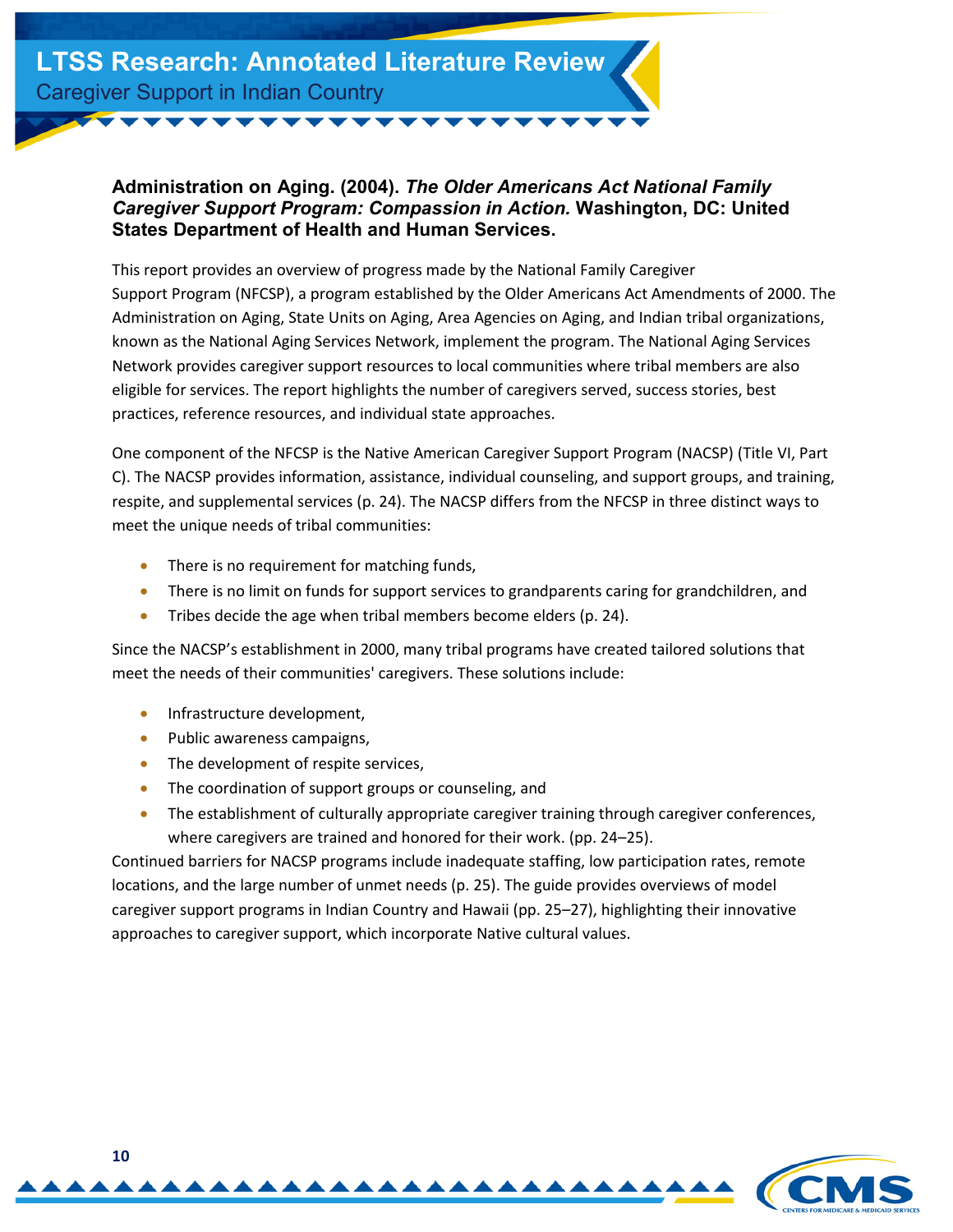#### <span id="page-9-0"></span>**Administration on Aging. (2004).** *The Older Americans Act National Family Caregiver Support Program: Compassion in Action.* **Washington, DC: United States Department of Health and Human Services.**

This report provides an overview of progress made by the National Family Caregiver Support Program (NFCSP), a program established by the Older Americans Act Amendments of 2000. The Administration on Aging, State Units on Aging, Area Agencies on Aging, and Indian tribal organizations, known as the National Aging Services Network, implement the program. The National Aging Services Network provides caregiver support resources to local communities where tribal members are also eligible for services. The report highlights the number of caregivers served, success stories, best practices, reference resources, and individual state approaches.

One component of the NFCSP is the Native American Caregiver Support Program (NACSP) (Title VI, Part C). The NACSP provides information, assistance, individual counseling, and support groups, and training, respite, and supplemental services (p. 24). The NACSP differs from the NFCSP in three distinct ways to meet the unique needs of tribal communities:

- There is no requirement for matching funds,
- There is no limit on funds for support services to grandparents caring for grandchildren, and
- Tribes decide the age when tribal members become elders (p. 24).

Since the NACSP's establishment in 2000, many tribal programs have created tailored solutions that meet the needs of their communities' caregivers. These solutions include:

- Infrastructure development,
- Public awareness campaigns,
- The development of respite services,
- The coordination of support groups or counseling, and
- The establishment of culturally appropriate caregiver training through caregiver conferences, where caregivers are trained and honored for their work. (pp. 24–25).

Continued barriers for NACSP programs include inadequate staffing, low participation rates, remote locations, and the large number of unmet needs (p. 25). The guide provides overviews of model caregiver support programs in Indian Country and Hawaii (pp. 25–27), highlighting their innovative approaches to caregiver support, which incorporate Native cultural values.

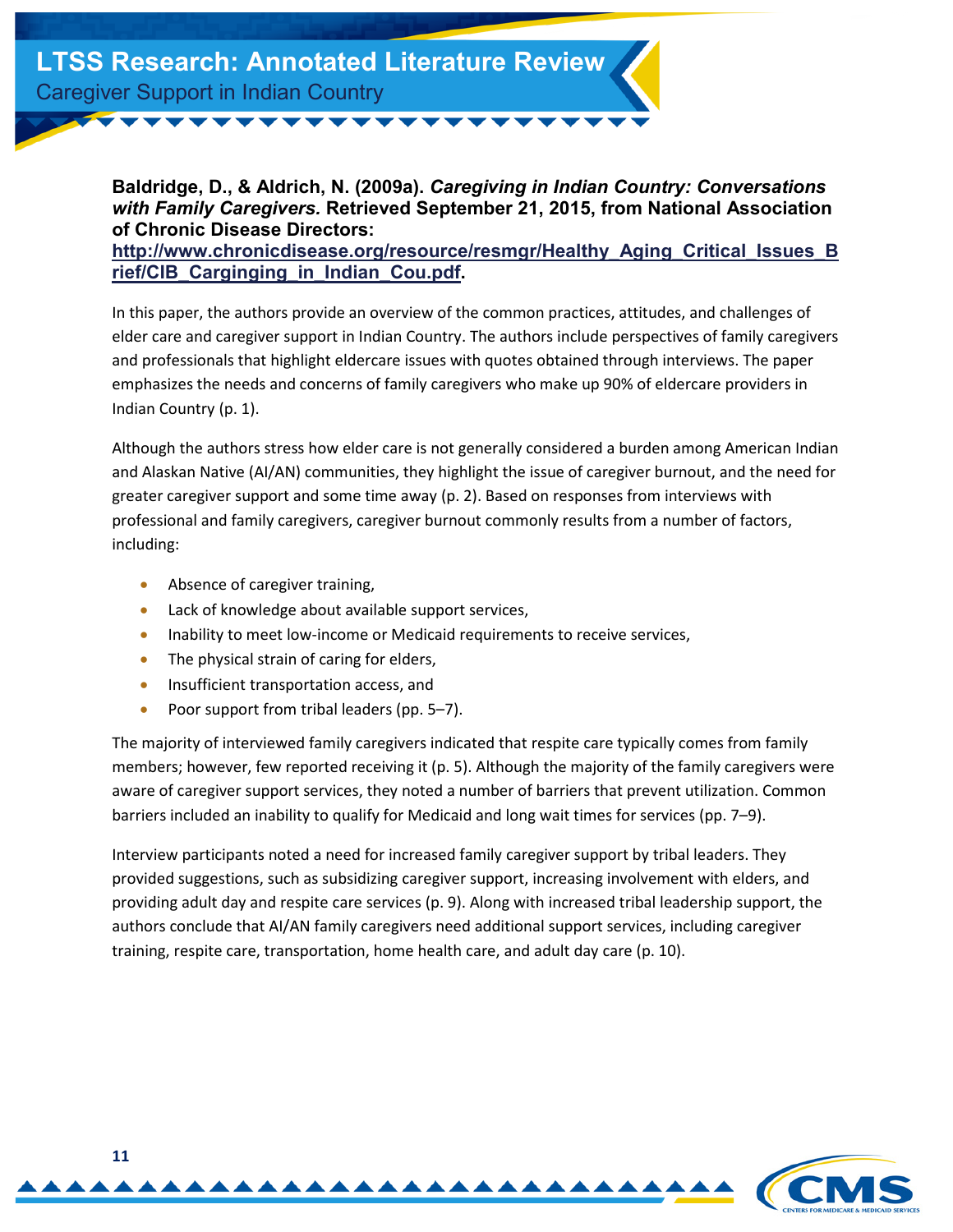#### <span id="page-10-0"></span>**Baldridge, D., & Aldrich, N. (2009a).** *Caregiving in Indian Country: Conversations with Family Caregivers.* **Retrieved September 21, 2015, from National Association of Chronic Disease Directors:**

**[http://www.chronicdisease.org/resource/resmgr/Healthy\\_Aging\\_Critical\\_Issues\\_B](http://www.chronicdisease.org/resource/resmgr/Healthy_Aging_Critical_Issues_Brief/CIB_Carginging_in_Indian_Cou.pdf) rief/CIB\_Carginging\_in\_Indian\_Cou.pdf.** 

In this paper, the authors provide an overview of the common practices, attitudes, and challenges of elder care and caregiver support in Indian Country. The authors include perspectives of family caregivers and professionals that highlight eldercare issues with quotes obtained through interviews. The paper emphasizes the needs and concerns of family caregivers who make up 90% of eldercare providers in Indian Country (p. 1).

Although the authors stress how elder care is not generally considered a burden among American Indian and Alaskan Native (AI/AN) communities, they highlight the issue of caregiver burnout, and the need for greater caregiver support and some time away (p. 2). Based on responses from interviews with professional and family caregivers, caregiver burnout commonly results from a number of factors, including:

- Absence of caregiver training,
- Lack of knowledge about available support services,
- Inability to meet low-income or Medicaid requirements to receive services,
- The physical strain of caring for elders,
- Insufficient transportation access, and
- Poor support from tribal leaders (pp. 5–7).

The majority of interviewed family caregivers indicated that respite care typically comes from family members; however, few reported receiving it (p. 5). Although the majority of the family caregivers were aware of caregiver support services, they noted a number of barriers that prevent utilization. Common barriers included an inability to qualify for Medicaid and long wait times for services (pp. 7–9).

Interview participants noted a need for increased family caregiver support by tribal leaders. They provided suggestions, such as subsidizing caregiver support, increasing involvement with elders, and providing adult day and respite care services (p. 9). Along with increased tribal leadership support, the authors conclude that AI/AN family caregivers need additional support services, including caregiver training, respite care, transportation, home health care, and adult day care (p. 10).

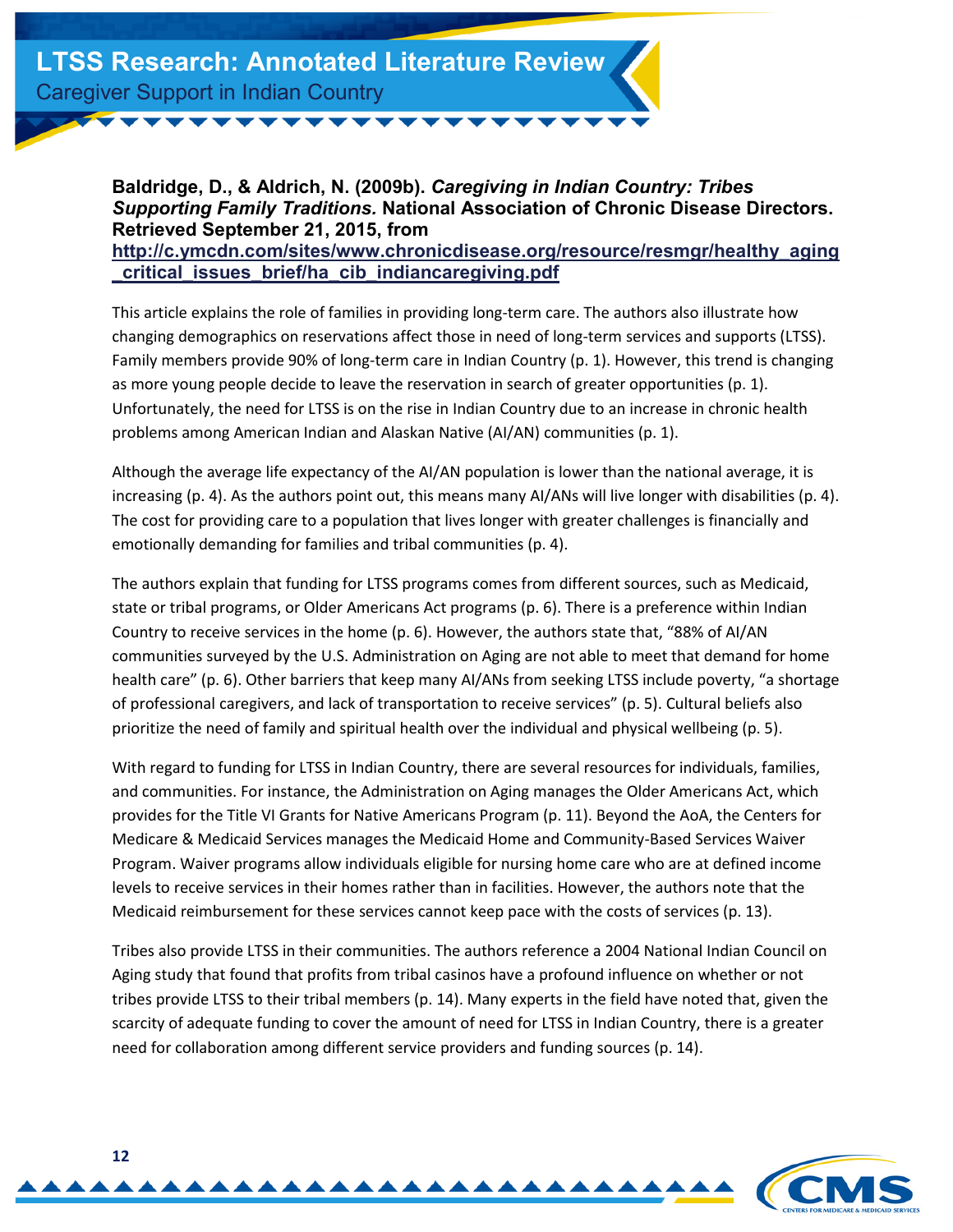#### <span id="page-11-0"></span>**Baldridge, D., & Aldrich, N. (2009b).** *Caregiving in Indian Country: Tribes Supporting Family Traditions.* **National Association of Chronic Disease Directors. Retrieved September 21, 2015, from [http://c.ymcdn.com/sites/www.chronicdisease.org/resource/resmgr/healthy\\_aging](http://c.ymcdn.com/sites/www.chronicdisease.org/resource/resmgr/healthy_aging_critical_issues_brief/ha_cib_indiancaregiving.pdf) \_critical\_issues\_brief/ha\_cib\_indiancaregiving.pdf**

This article explains the role of families in providing long-term care. The authors also illustrate how changing demographics on reservations affect those in need of long-term services and supports (LTSS). Family members provide 90% of long-term care in Indian Country (p. 1). However, this trend is changing as more young people decide to leave the reservation in search of greater opportunities (p. 1). Unfortunately, the need for LTSS is on the rise in Indian Country due to an increase in chronic health problems among American Indian and Alaskan Native (AI/AN) communities (p. 1).

Although the average life expectancy of the AI/AN population is lower than the national average, it is increasing (p. 4). As the authors point out, this means many AI/ANs will live longer with disabilities (p. 4). The cost for providing care to a population that lives longer with greater challenges is financially and emotionally demanding for families and tribal communities (p. 4).

The authors explain that funding for LTSS programs comes from different sources, such as Medicaid, state or tribal programs, or Older Americans Act programs (p. 6). There is a preference within Indian Country to receive services in the home (p. 6). However, the authors state that, "88% of AI/AN communities surveyed by the U.S. Administration on Aging are not able to meet that demand for home health care" (p. 6). Other barriers that keep many AI/ANs from seeking LTSS include poverty, "a shortage of professional caregivers, and lack of transportation to receive services" (p. 5). Cultural beliefs also prioritize the need of family and spiritual health over the individual and physical wellbeing (p. 5).

With regard to funding for LTSS in Indian Country, there are several resources for individuals, families, and communities. For instance, the Administration on Aging manages the Older Americans Act, which provides for the Title VI Grants for Native Americans Program (p. 11). Beyond the AoA, the Centers for Medicare & Medicaid Services manages the Medicaid Home and Community-Based Services Waiver Program. Waiver programs allow individuals eligible for nursing home care who are at defined income levels to receive services in their homes rather than in facilities. However, the authors note that the Medicaid reimbursement for these services cannot keep pace with the costs of services (p. 13).

Tribes also provide LTSS in their communities. The authors reference a 2004 National Indian Council on Aging study that found that profits from tribal casinos have a profound influence on whether or not tribes provide LTSS to their tribal members (p. 14). Many experts in the field have noted that, given the scarcity of adequate funding to cover the amount of need for LTSS in Indian Country, there is a greater need for collaboration among different service providers and funding sources (p. 14).

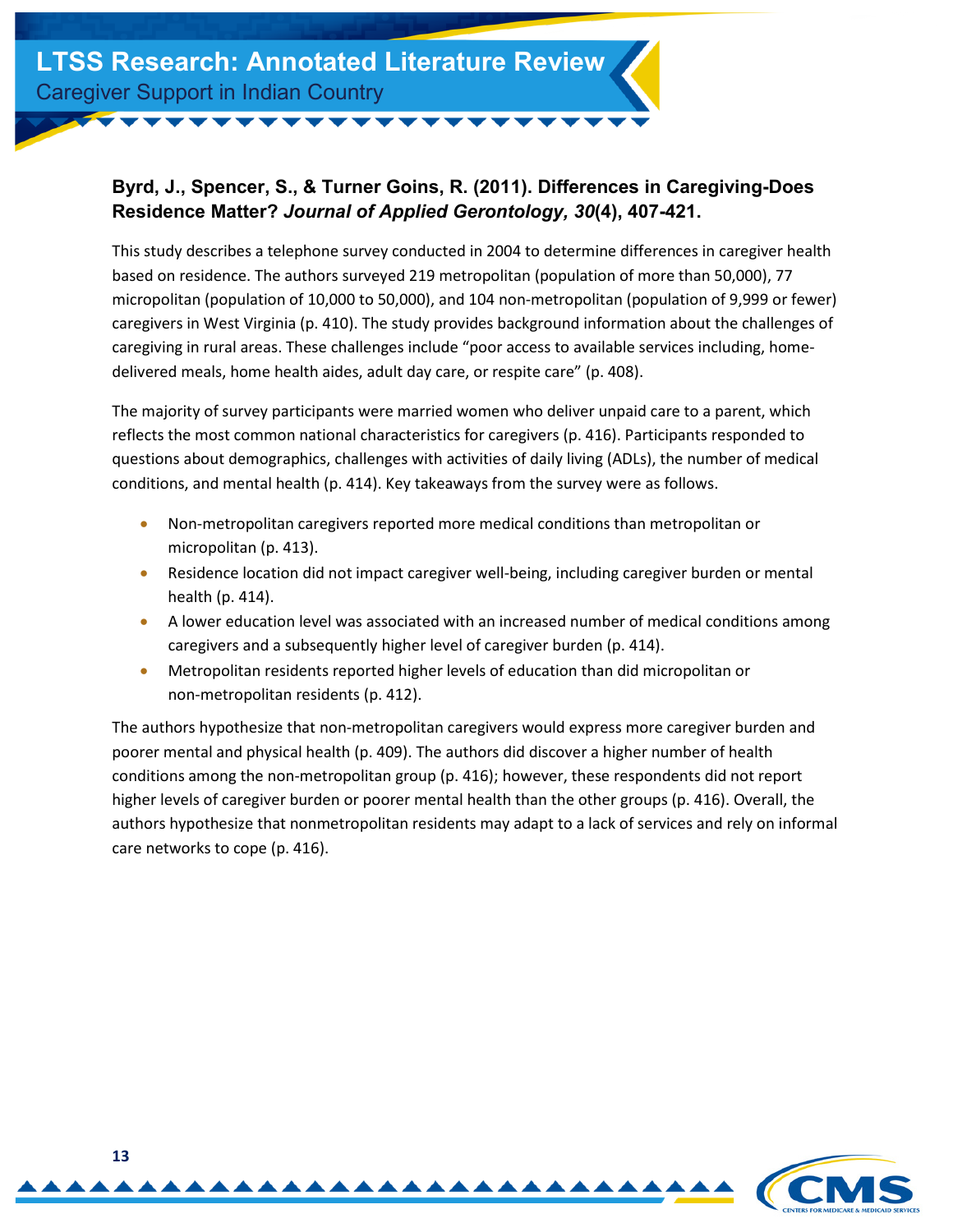#### **Byrd, J., Spencer, S., & Turner Goins, R. (2011). Differences in Caregiving-Does Residence Matter?** *Journal of Applied Gerontology, 30***(4), 407-421.**

This study describes a telephone survey conducted in 2004 to determine differences in caregiver health based on residence. The authors surveyed 219 metropolitan (population of more than 50,000), 77 micropolitan (population of 10,000 to 50,000), and 104 non-metropolitan (population of 9,999 or fewer) caregivers in West Virginia (p. 410). The study provides background information about the challenges of caregiving in rural areas. These challenges include "poor access to available services including, homedelivered meals, home health aides, adult day care, or respite care" (p. 408).

The majority of survey participants were married women who deliver unpaid care to a parent, which reflects the most common national characteristics for caregivers (p. 416). Participants responded to questions about demographics, challenges with activities of daily living (ADLs), the number of medical conditions, and mental health (p. 414). Key takeaways from the survey were as follows.

- Non-metropolitan caregivers reported more medical conditions than metropolitan or micropolitan (p. 413).
- Residence location did not impact caregiver well-being, including caregiver burden or mental health (p. 414).
- A lower education level was associated with an increased number of medical conditions among caregivers and a subsequently higher level of caregiver burden (p. 414).
- Metropolitan residents reported higher levels of education than did micropolitan or non-metropolitan residents (p. 412).

The authors hypothesize that non-metropolitan caregivers would express more caregiver burden and poorer mental and physical health (p. 409). The authors did discover a higher number of health conditions among the non-metropolitan group (p. 416); however, these respondents did not report higher levels of caregiver burden or poorer mental health than the other groups (p. 416). Overall, the authors hypothesize that nonmetropolitan residents may adapt to a lack of services and rely on informal care networks to cope (p. 416).

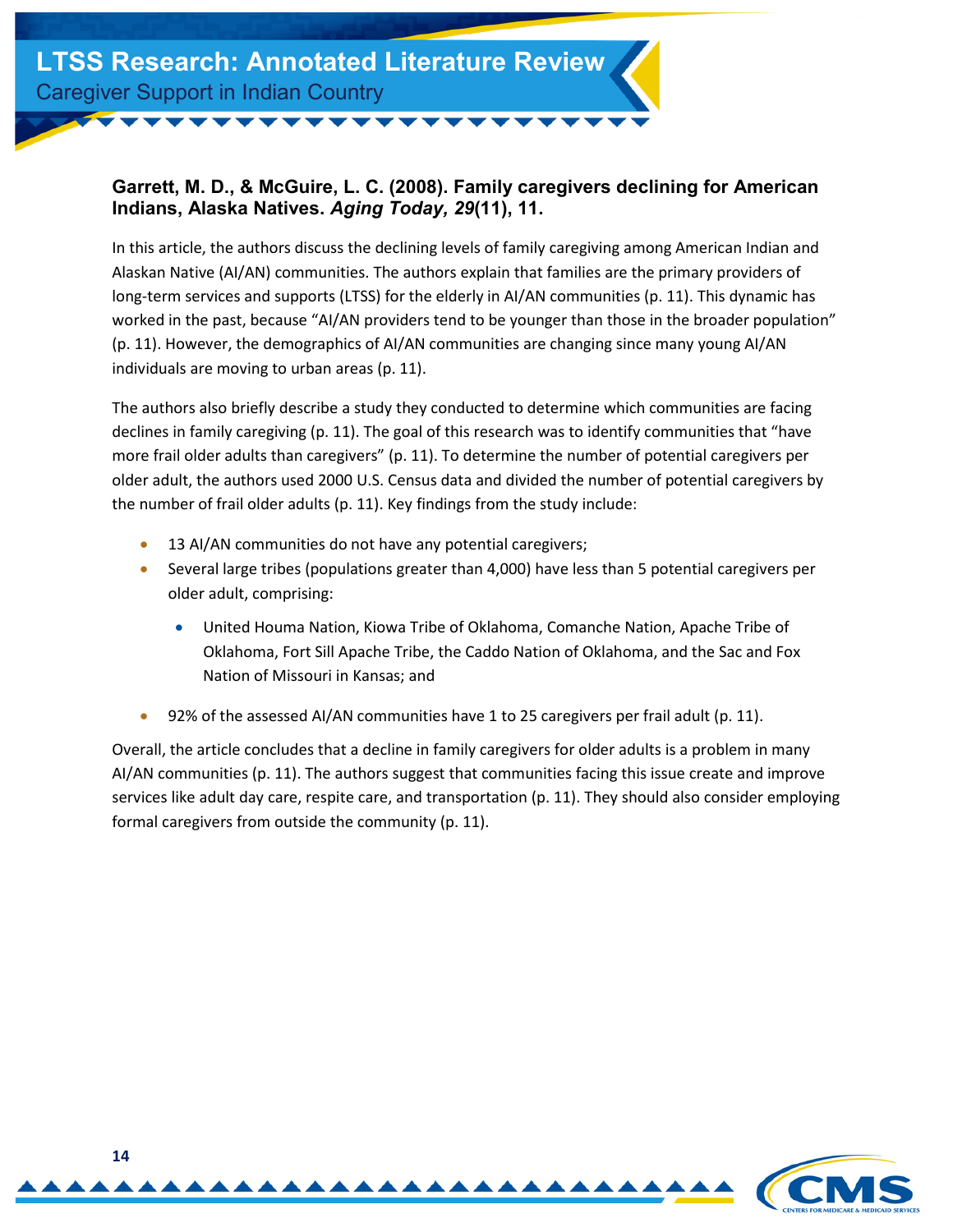#### <span id="page-13-0"></span>**Garrett, M. D., & McGuire, L. C. (2008). Family caregivers declining for American Indians, Alaska Natives.** *Aging Today, 29***(11), 11.**

In this article, the authors discuss the declining levels of family caregiving among American Indian and Alaskan Native (AI/AN) communities. The authors explain that families are the primary providers of long-term services and supports (LTSS) for the elderly in AI/AN communities (p. 11). This dynamic has worked in the past, because "AI/AN providers tend to be younger than those in the broader population" (p. 11). However, the demographics of AI/AN communities are changing since many young AI/AN individuals are moving to urban areas (p. 11).

The authors also briefly describe a study they conducted to determine which communities are facing declines in family caregiving (p. 11). The goal of this research was to identify communities that "have more frail older adults than caregivers" (p. 11). To determine the number of potential caregivers per older adult, the authors used 2000 U.S. Census data and divided the number of potential caregivers by the number of frail older adults (p. 11). Key findings from the study include:

- 13 AI/AN communities do not have any potential caregivers;
- Several large tribes (populations greater than 4,000) have less than 5 potential caregivers per older adult, comprising:
	- United Houma Nation, Kiowa Tribe of Oklahoma, Comanche Nation, Apache Tribe of Oklahoma, Fort Sill Apache Tribe, the Caddo Nation of Oklahoma, and the Sac and Fox Nation of Missouri in Kansas; and
- 92% of the assessed AI/AN communities have 1 to 25 caregivers per frail adult (p. 11).

Overall, the article concludes that a decline in family caregivers for older adults is a problem in many AI/AN communities (p. 11). The authors suggest that communities facing this issue create and improve services like adult day care, respite care, and transportation (p. 11). They should also consider employing formal caregivers from outside the community (p. 11).

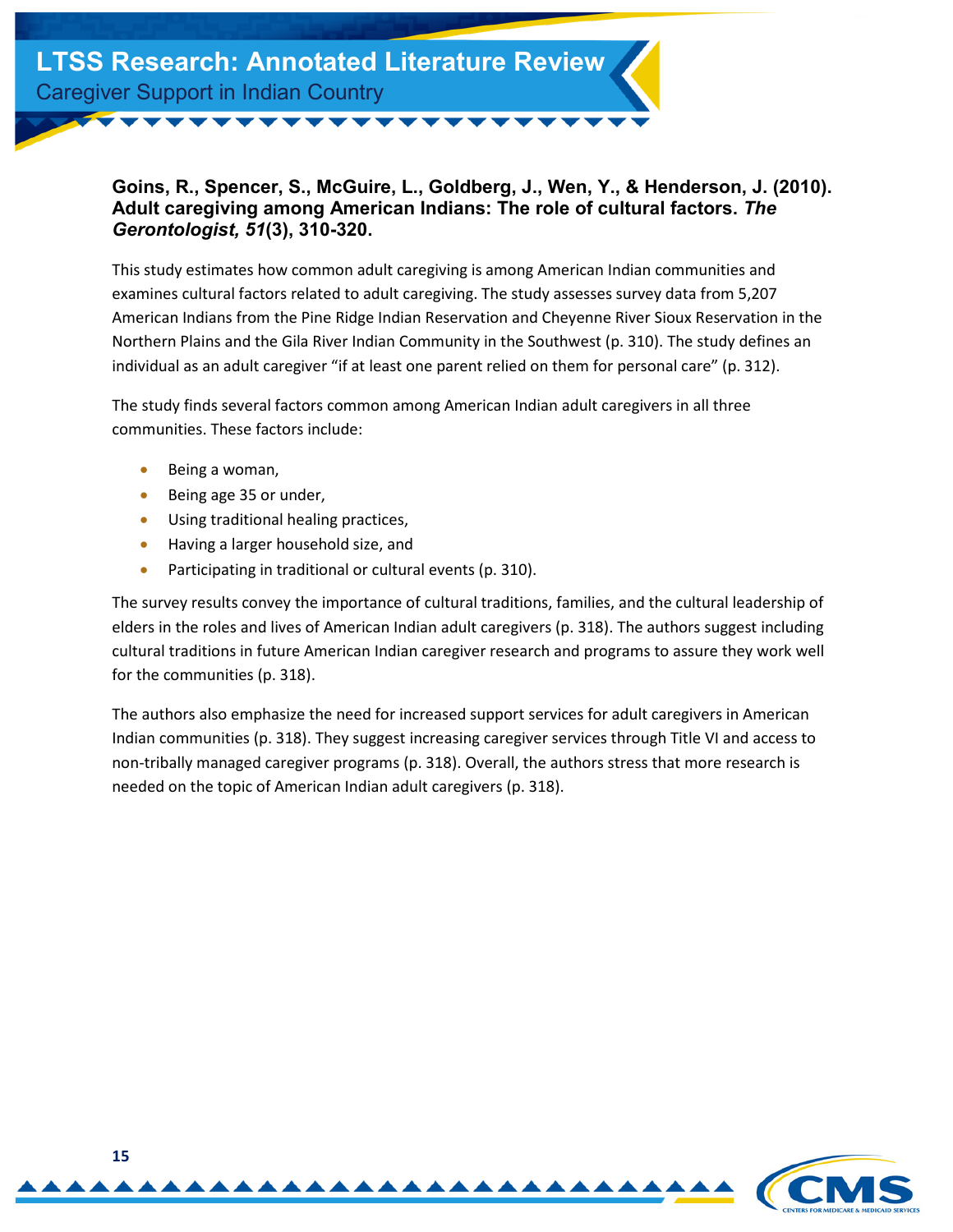

#### <span id="page-14-0"></span>**Goins, R., Spencer, S., McGuire, L., Goldberg, J., Wen, Y., & Henderson, J. (2010). Adult caregiving among American Indians: The role of cultural factors.** *The Gerontologist, 51***(3), 310-320.**

This study estimates how common adult caregiving is among American Indian communities and examines cultural factors related to adult caregiving. The study assesses survey data from 5,207 American Indians from the Pine Ridge Indian Reservation and Cheyenne River Sioux Reservation in the Northern Plains and the Gila River Indian Community in the Southwest (p. 310). The study defines an individual as an adult caregiver "if at least one parent relied on them for personal care" (p. 312).

The study finds several factors common among American Indian adult caregivers in all three communities. These factors include:

- Being a woman,
- Being age 35 or under,
- Using traditional healing practices,
- Having a larger household size, and
- Participating in traditional or cultural events (p. 310).

The survey results convey the importance of cultural traditions, families, and the cultural leadership of elders in the roles and lives of American Indian adult caregivers (p. 318). The authors suggest including cultural traditions in future American Indian caregiver research and programs to assure they work well for the communities (p. 318).

The authors also emphasize the need for increased support services for adult caregivers in American Indian communities (p. 318). They suggest increasing caregiver services through Title VI and access to non-tribally managed caregiver programs (p. 318). Overall, the authors stress that more research is needed on the topic of American Indian adult caregivers (p. 318).

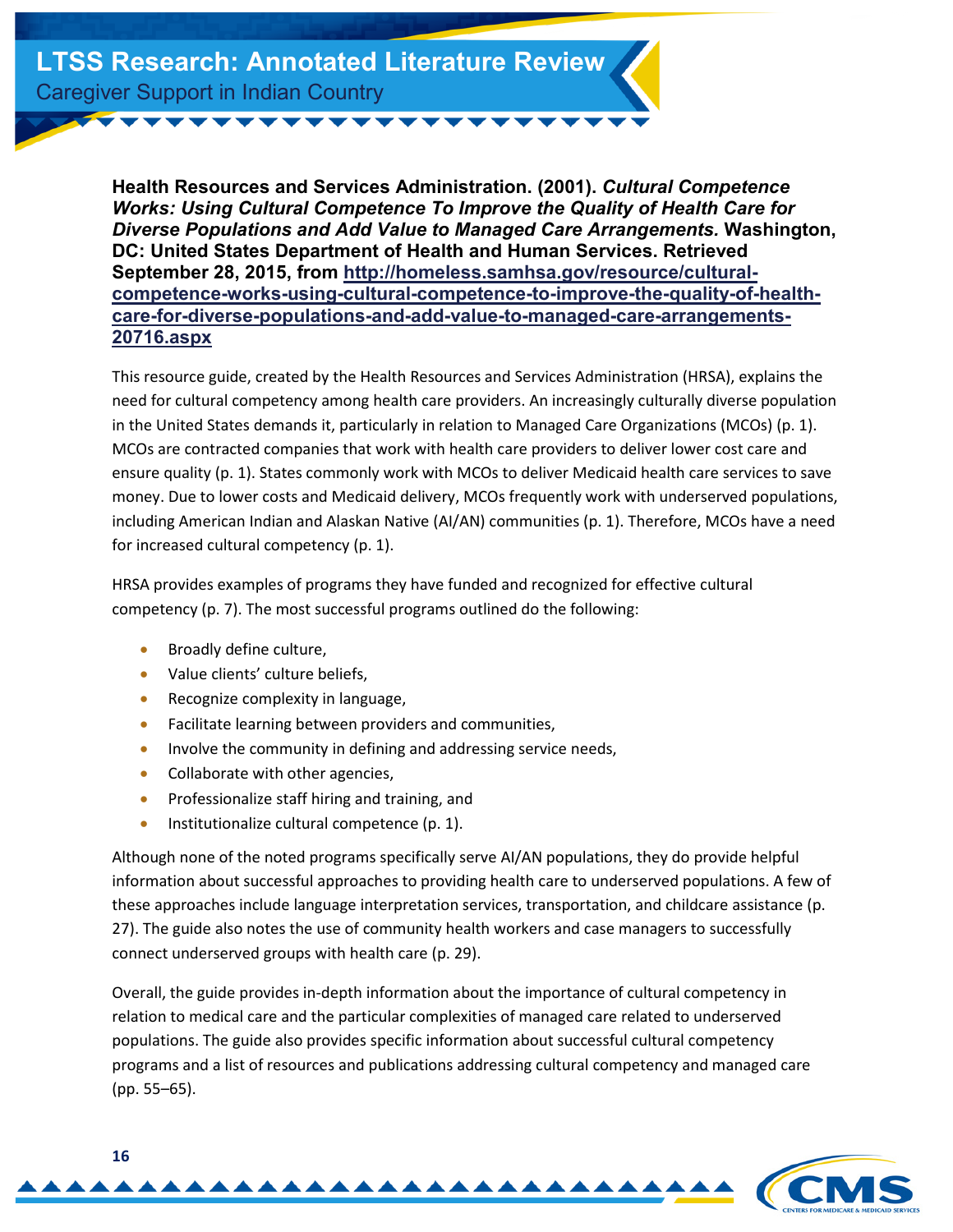<span id="page-15-0"></span>**Health Resources and Services Administration. (2001).** *Cultural Competence Works: Using Cultural Competence To Improve the Quality of Health Care for Diverse Populations and Add Value to Managed Care Arrangements.* **Washington, DC: United States Department of Health and Human Services. Retrieved September 28, 2015, from http://homeless.samhsa.gov/resource/cultural[competence-works-using-cultural-competence-to-improve-the-quality-of-health](http://homeless.samhsa.gov/resource/cultural-competence-works-using-cultural-competence-to-improve-the-quality-of-health-care-for-diverse-populations-and-add-value-to-managed-care-arrangements-20716.aspx)care-for-diverse-populations-and-add-value-to-managed-care-arrangements-20716.aspx**

This resource guide, created by the Health Resources and Services Administration (HRSA), explains the need for cultural competency among health care providers. An increasingly culturally diverse population in the United States demands it, particularly in relation to Managed Care Organizations (MCOs) (p. 1). MCOs are contracted companies that work with health care providers to deliver lower cost care and ensure quality (p. 1). States commonly work with MCOs to deliver Medicaid health care services to save money. Due to lower costs and Medicaid delivery, MCOs frequently work with underserved populations, including American Indian and Alaskan Native (AI/AN) communities (p. 1). Therefore, MCOs have a need for increased cultural competency (p. 1).

HRSA provides examples of programs they have funded and recognized for effective cultural competency (p. 7). The most successful programs outlined do the following:

- Broadly define culture,
- Value clients' culture beliefs,
- Recognize complexity in language,
- Facilitate learning between providers and communities,
- Involve the community in defining and addressing service needs,
- Collaborate with other agencies,
- Professionalize staff hiring and training, and
- Institutionalize cultural competence (p. 1).

Although none of the noted programs specifically serve AI/AN populations, they do provide helpful information about successful approaches to providing health care to underserved populations. A few of these approaches include language interpretation services, transportation, and childcare assistance (p. 27). The guide also notes the use of community health workers and case managers to successfully connect underserved groups with health care (p. 29).

Overall, the guide provides in-depth information about the importance of cultural competency in relation to medical care and the particular complexities of managed care related to underserved populations. The guide also provides specific information about successful cultural competency programs and a list of resources and publications addressing cultural competency and managed care (pp. 55–65).

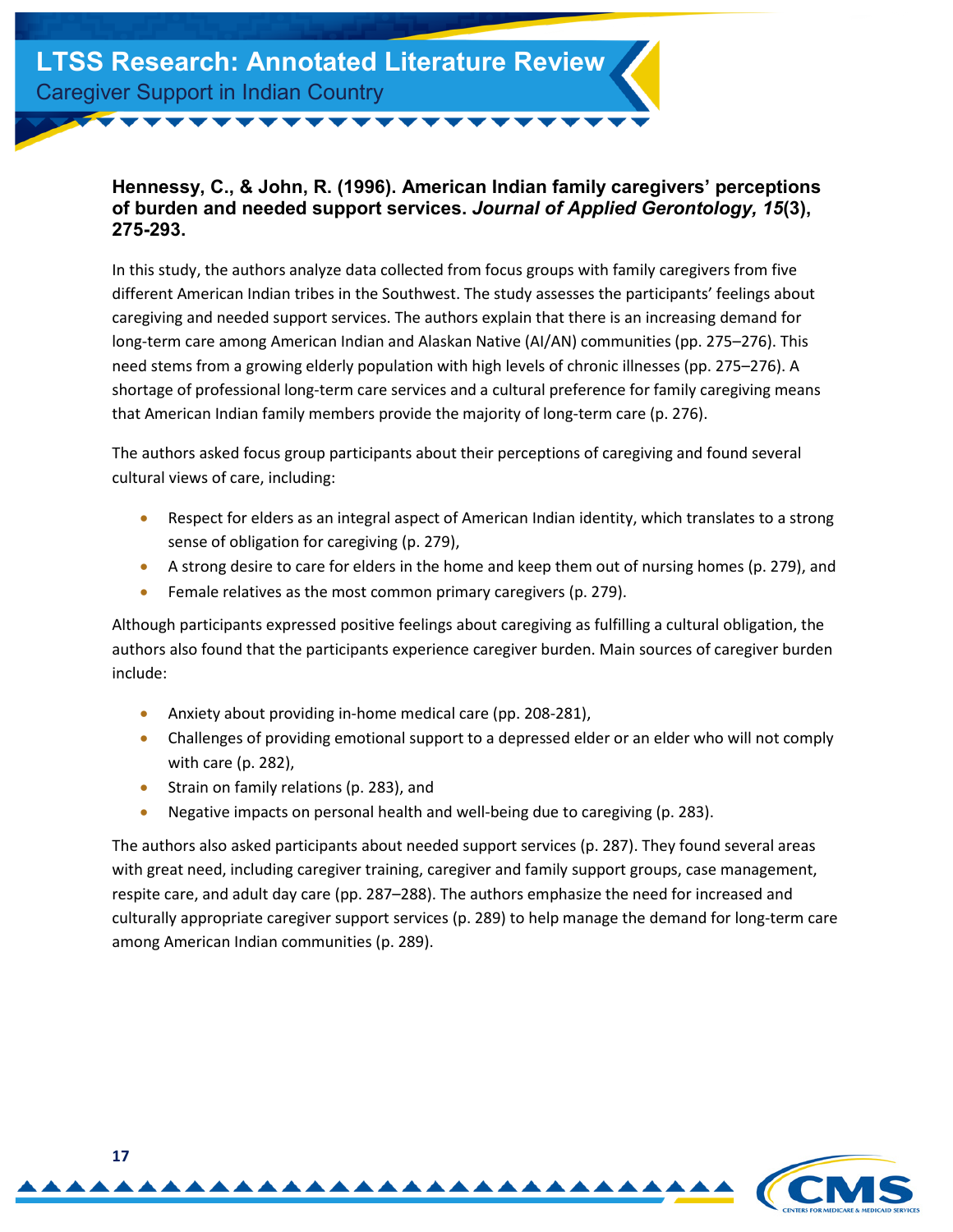#### <span id="page-16-0"></span>**Hennessy, C., & John, R. (1996). American Indian family caregivers' perceptions of burden and needed support services.** *Journal of Applied Gerontology, 15***(3), 275-293.**

In this study, the authors analyze data collected from focus groups with family caregivers from five different American Indian tribes in the Southwest. The study assesses the participants' feelings about caregiving and needed support services. The authors explain that there is an increasing demand for long-term care among American Indian and Alaskan Native (AI/AN) communities (pp. 275–276). This need stems from a growing elderly population with high levels of chronic illnesses (pp. 275–276). A shortage of professional long-term care services and a cultural preference for family caregiving means that American Indian family members provide the majority of long-term care (p. 276).

The authors asked focus group participants about their perceptions of caregiving and found several cultural views of care, including:

- Respect for elders as an integral aspect of American Indian identity, which translates to a strong sense of obligation for caregiving (p. 279),
- A strong desire to care for elders in the home and keep them out of nursing homes (p. 279), and
- Female relatives as the most common primary caregivers (p. 279).

Although participants expressed positive feelings about caregiving as fulfilling a cultural obligation, the authors also found that the participants experience caregiver burden. Main sources of caregiver burden include:

- Anxiety about providing in-home medical care (pp. 208-281),
- Challenges of providing emotional support to a depressed elder or an elder who will not comply with care (p. 282),
- Strain on family relations (p. 283), and
- Negative impacts on personal health and well-being due to caregiving (p. 283).

The authors also asked participants about needed support services (p. 287). They found several areas with great need, including caregiver training, caregiver and family support groups, case management, respite care, and adult day care (pp. 287–288). The authors emphasize the need for increased and culturally appropriate caregiver support services (p. 289) to help manage the demand for long-term care among American Indian communities (p. 289).

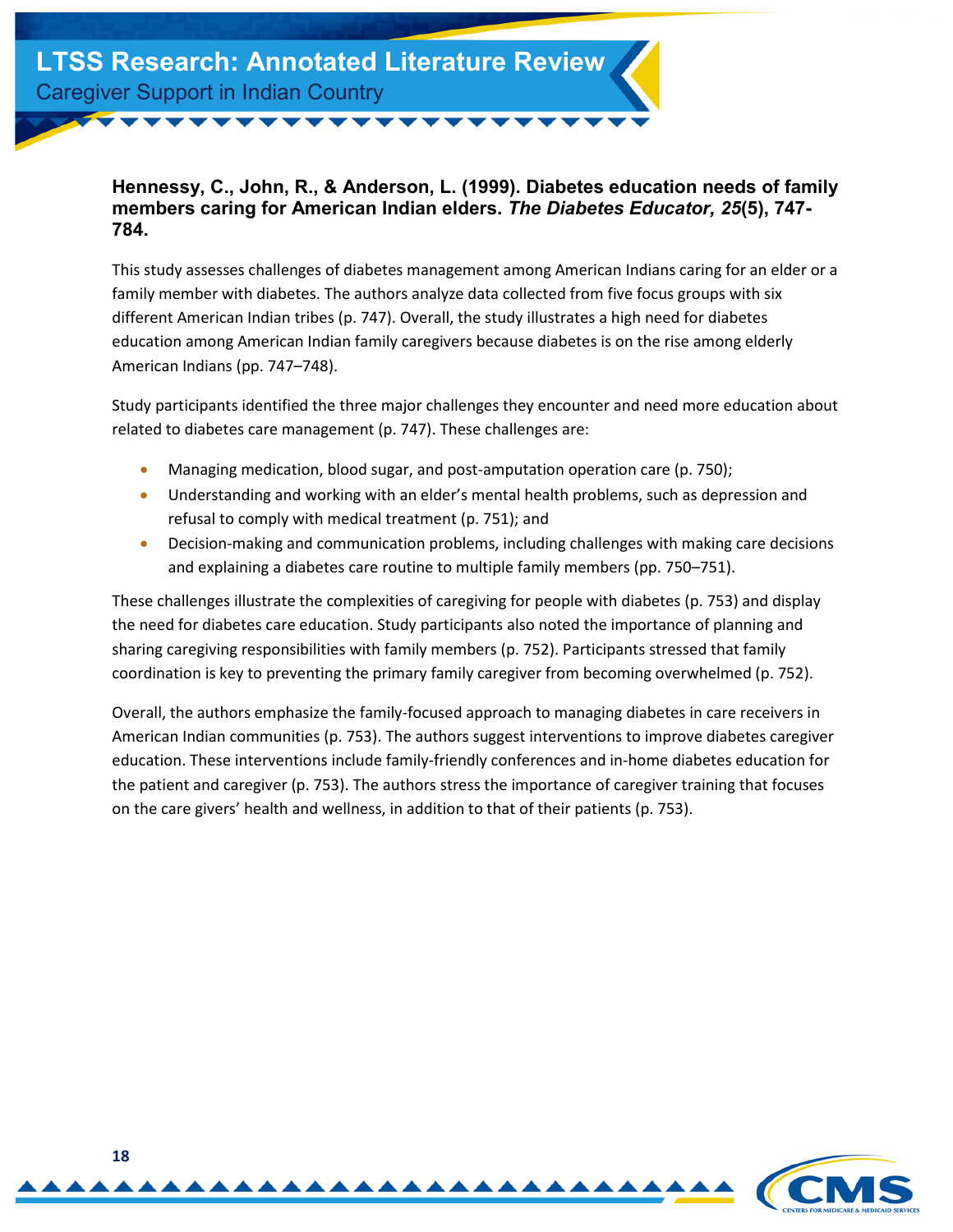#### <span id="page-17-0"></span>**Hennessy, C., John, R., & Anderson, L. (1999). Diabetes education needs of family members caring for American Indian elders.** *The Diabetes Educator, 25***(5), 747- 784.**

This study assesses challenges of diabetes management among American Indians caring for an elder or a family member with diabetes. The authors analyze data collected from five focus groups with six different American Indian tribes (p. 747). Overall, the study illustrates a high need for diabetes education among American Indian family caregivers because diabetes is on the rise among elderly American Indians (pp. 747–748).

Study participants identified the three major challenges they encounter and need more education about related to diabetes care management (p. 747). These challenges are:

- Managing medication, blood sugar, and post-amputation operation care (p. 750);
- Understanding and working with an elder's mental health problems, such as depression and refusal to comply with medical treatment (p. 751); and
- Decision-making and communication problems, including challenges with making care decisions and explaining a diabetes care routine to multiple family members (pp. 750–751).

These challenges illustrate the complexities of caregiving for people with diabetes (p. 753) and display the need for diabetes care education. Study participants also noted the importance of planning and sharing caregiving responsibilities with family members (p. 752). Participants stressed that family coordination is key to preventing the primary family caregiver from becoming overwhelmed (p. 752).

Overall, the authors emphasize the family-focused approach to managing diabetes in care receivers in American Indian communities (p. 753). The authors suggest interventions to improve diabetes caregiver education. These interventions include family-friendly conferences and in-home diabetes education for the patient and caregiver (p. 753). The authors stress the importance of caregiver training that focuses on the care givers' health and wellness, in addition to that of their patients (p. 753).

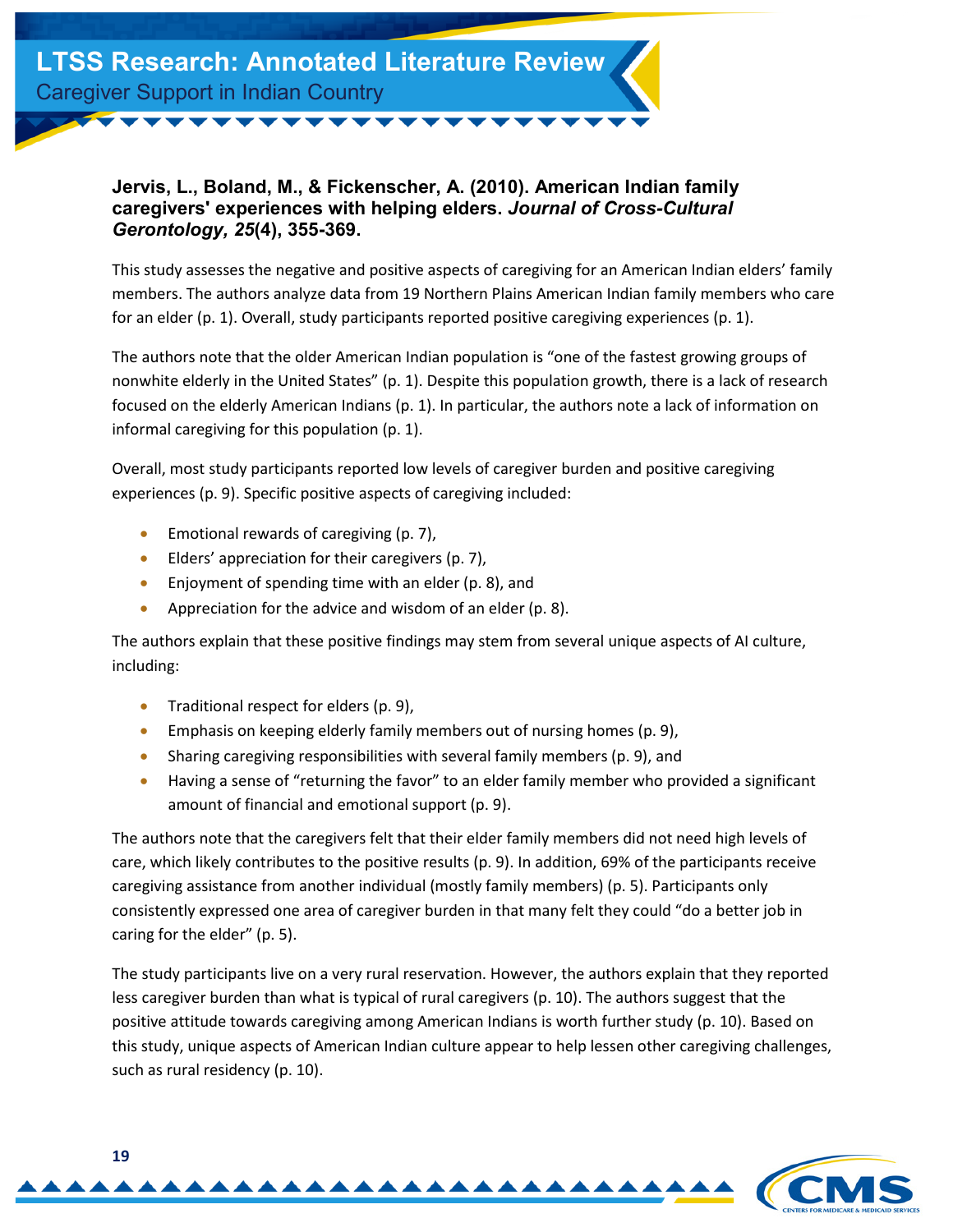

#### <span id="page-18-0"></span>**Jervis, L., Boland, M., & Fickenscher, A. (2010). American Indian family caregivers' experiences with helping elders.** *Journal of Cross-Cultural Gerontology, 25***(4), 355-369.**

This study assesses the negative and positive aspects of caregiving for an American Indian elders' family members. The authors analyze data from 19 Northern Plains American Indian family members who care for an elder (p. 1). Overall, study participants reported positive caregiving experiences (p. 1).

The authors note that the older American Indian population is "one of the fastest growing groups of nonwhite elderly in the United States" (p. 1). Despite this population growth, there is a lack of research focused on the elderly American Indians (p. 1). In particular, the authors note a lack of information on informal caregiving for this population (p. 1).

Overall, most study participants reported low levels of caregiver burden and positive caregiving experiences (p. 9). Specific positive aspects of caregiving included:

- Emotional rewards of caregiving (p. 7),
- Elders' appreciation for their caregivers (p. 7),
- Enjoyment of spending time with an elder (p. 8), and
- Appreciation for the advice and wisdom of an elder (p. 8).

The authors explain that these positive findings may stem from several unique aspects of AI culture, including:

- Traditional respect for elders (p. 9),
- Emphasis on keeping elderly family members out of nursing homes (p. 9),
- Sharing caregiving responsibilities with several family members (p. 9), and
- Having a sense of "returning the favor" to an elder family member who provided a significant amount of financial and emotional support (p. 9).

The authors note that the caregivers felt that their elder family members did not need high levels of care, which likely contributes to the positive results (p. 9). In addition, 69% of the participants receive caregiving assistance from another individual (mostly family members) (p. 5). Participants only consistently expressed one area of caregiver burden in that many felt they could "do a better job in caring for the elder" (p. 5).

The study participants live on a very rural reservation. However, the authors explain that they reported less caregiver burden than what is typical of rural caregivers (p. 10). The authors suggest that the positive attitude towards caregiving among American Indians is worth further study (p. 10). Based on this study, unique aspects of American Indian culture appear to help lessen other caregiving challenges, such as rural residency (p. 10).

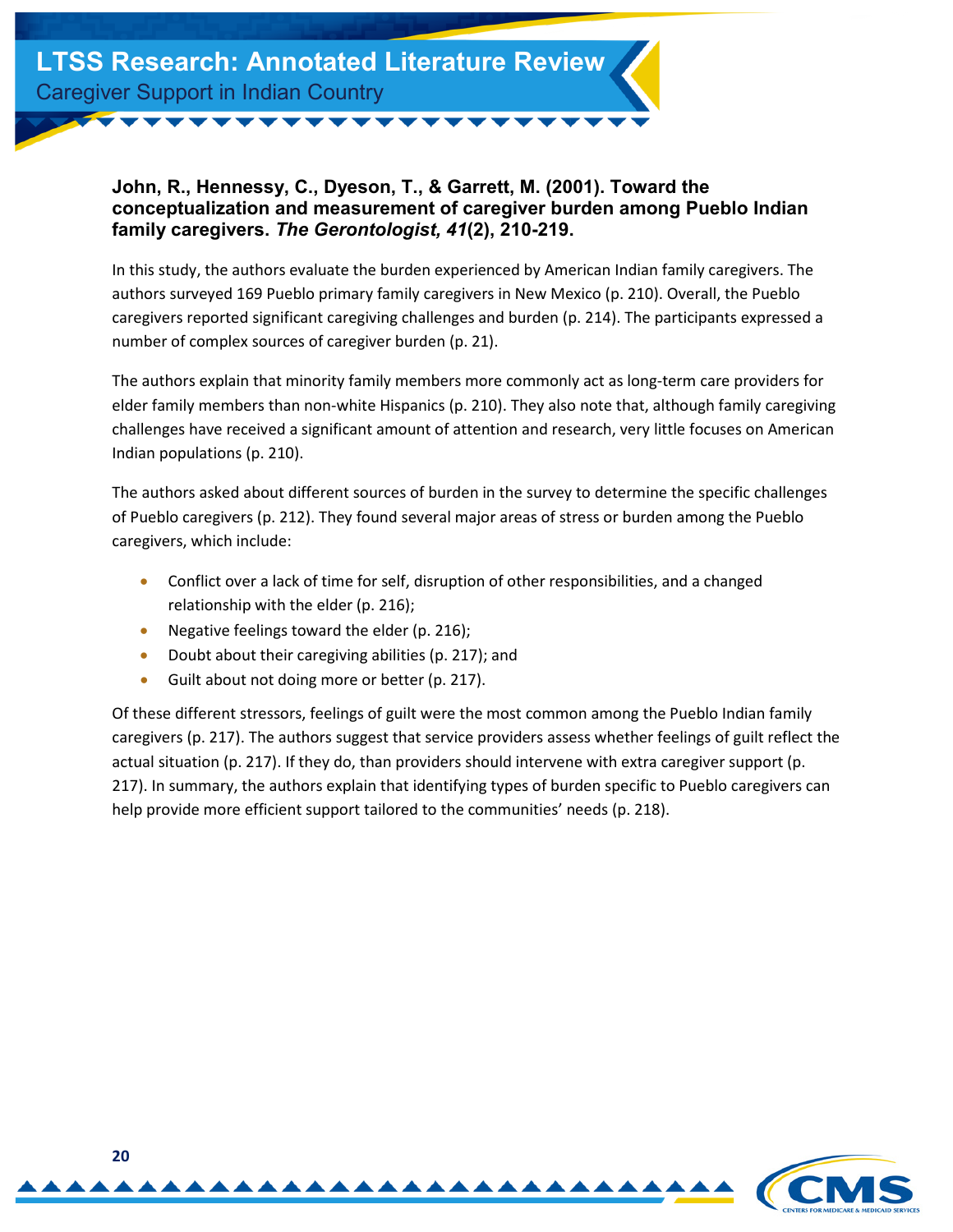

#### <span id="page-19-0"></span>**John, R., Hennessy, C., Dyeson, T., & Garrett, M. (2001). Toward the conceptualization and measurement of caregiver burden among Pueblo Indian family caregivers.** *The Gerontologist, 41***(2), 210-219.**

In this study, the authors evaluate the burden experienced by American Indian family caregivers. The authors surveyed 169 Pueblo primary family caregivers in New Mexico (p. 210). Overall, the Pueblo caregivers reported significant caregiving challenges and burden (p. 214). The participants expressed a number of complex sources of caregiver burden (p. 21).

The authors explain that minority family members more commonly act as long-term care providers for elder family members than non-white Hispanics (p. 210). They also note that, although family caregiving challenges have received a significant amount of attention and research, very little focuses on American Indian populations (p. 210).

The authors asked about different sources of burden in the survey to determine the specific challenges of Pueblo caregivers (p. 212). They found several major areas of stress or burden among the Pueblo caregivers, which include:

- Conflict over a lack of time for self, disruption of other responsibilities, and a changed relationship with the elder (p. 216);
- Negative feelings toward the elder (p. 216);
- Doubt about their caregiving abilities (p. 217); and
- Guilt about not doing more or better (p. 217).

Of these different stressors, feelings of guilt were the most common among the Pueblo Indian family caregivers (p. 217). The authors suggest that service providers assess whether feelings of guilt reflect the actual situation (p. 217). If they do, than providers should intervene with extra caregiver support (p. 217). In summary, the authors explain that identifying types of burden specific to Pueblo caregivers can help provide more efficient support tailored to the communities' needs (p. 218).

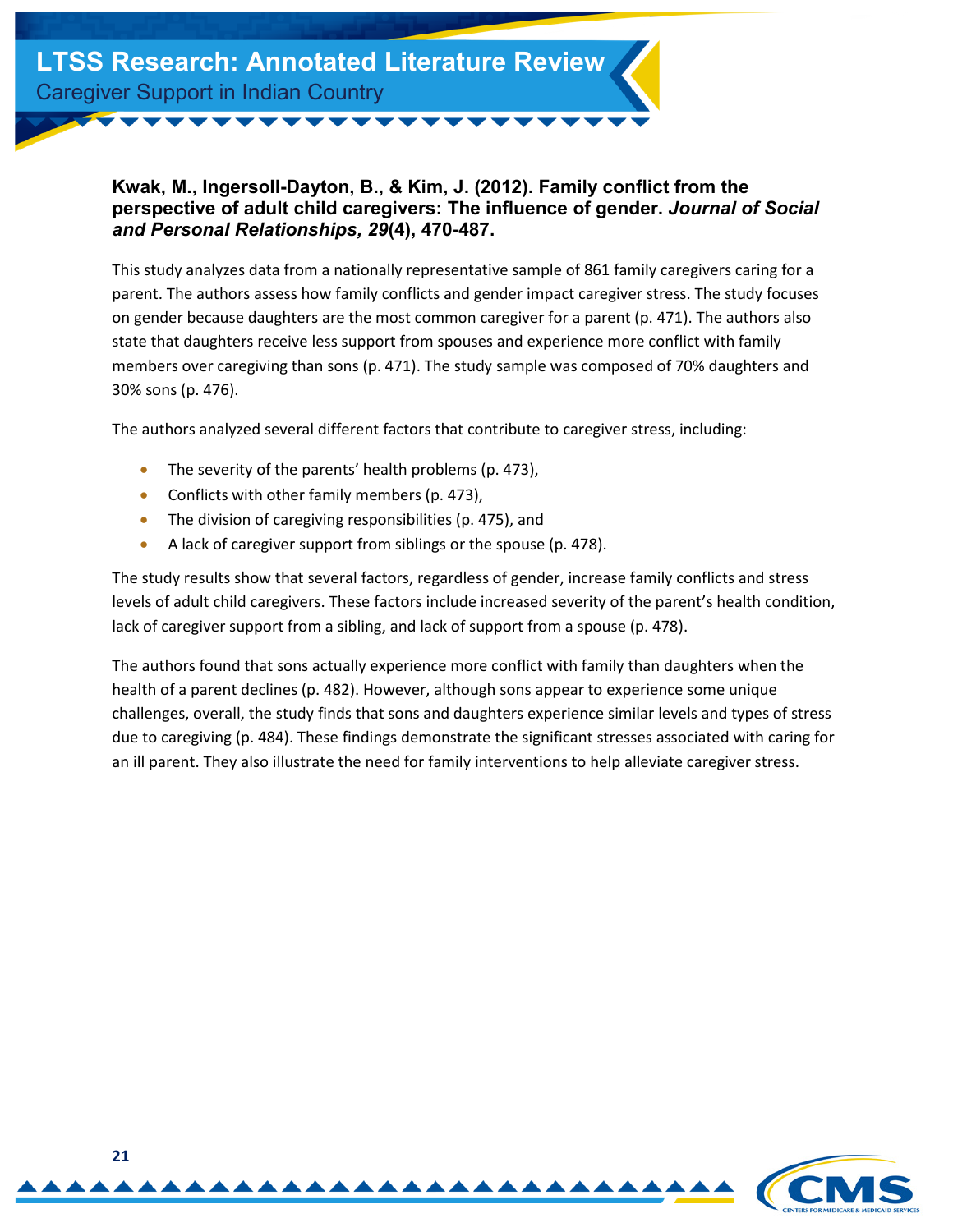

#### <span id="page-20-0"></span>**Kwak, M., Ingersoll-Dayton, B., & Kim, J. (2012). Family conflict from the perspective of adult child caregivers: The influence of gender.** *Journal of Social and Personal Relationships, 29***(4), 470-487.**

This study analyzes data from a nationally representative sample of 861 family caregivers caring for a parent. The authors assess how family conflicts and gender impact caregiver stress. The study focuses on gender because daughters are the most common caregiver for a parent (p. 471). The authors also state that daughters receive less support from spouses and experience more conflict with family members over caregiving than sons (p. 471). The study sample was composed of 70% daughters and 30% sons (p. 476).

The authors analyzed several different factors that contribute to caregiver stress, including:

- The severity of the parents' health problems (p. 473),
- Conflicts with other family members (p. 473),
- The division of caregiving responsibilities (p. 475), and
- A lack of caregiver support from siblings or the spouse (p. 478).

The study results show that several factors, regardless of gender, increase family conflicts and stress levels of adult child caregivers. These factors include increased severity of the parent's health condition, lack of caregiver support from a sibling, and lack of support from a spouse (p. 478).

The authors found that sons actually experience more conflict with family than daughters when the health of a parent declines (p. 482). However, although sons appear to experience some unique challenges, overall, the study finds that sons and daughters experience similar levels and types of stress due to caregiving (p. 484). These findings demonstrate the significant stresses associated with caring for an ill parent. They also illustrate the need for family interventions to help alleviate caregiver stress.

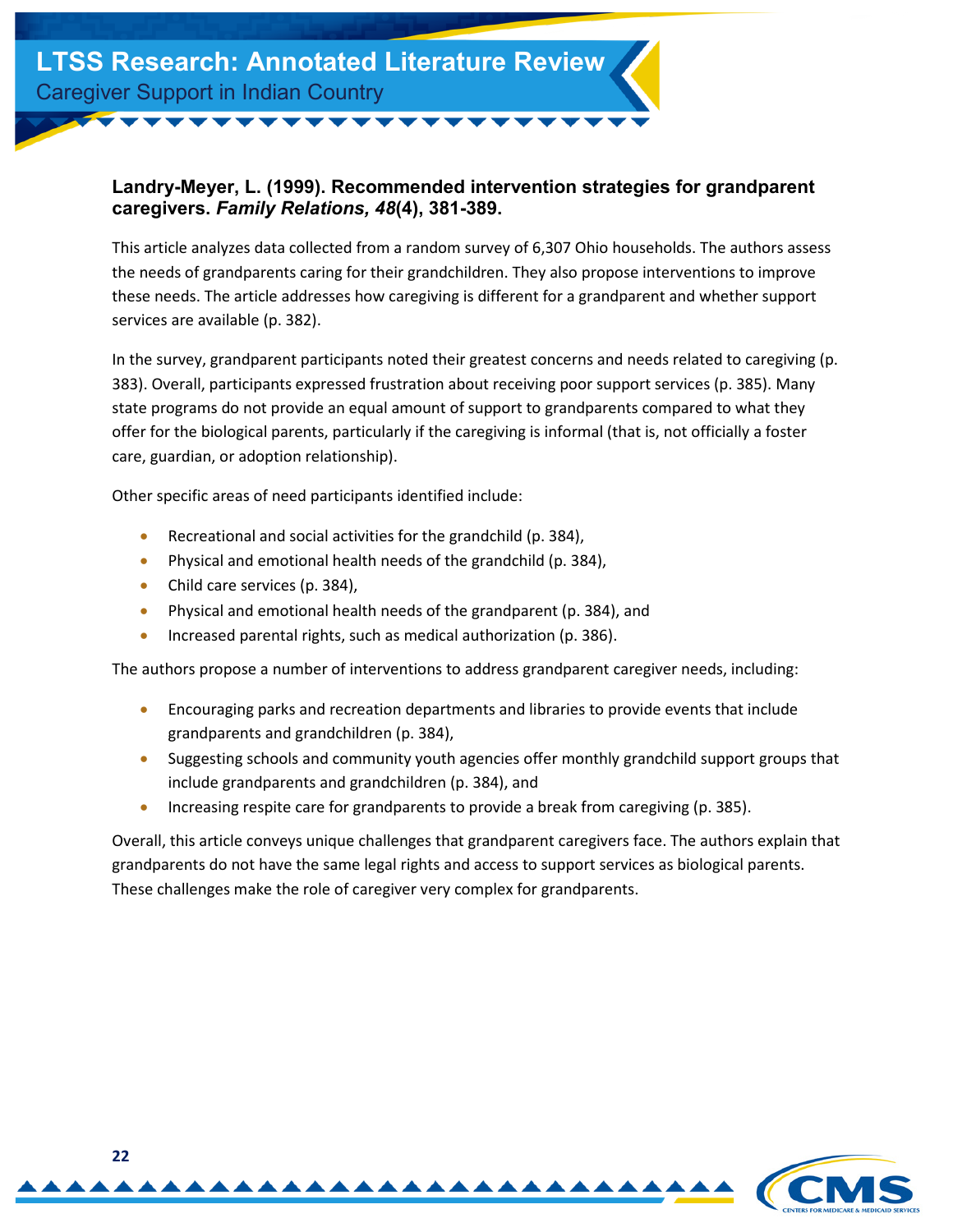#### <span id="page-21-0"></span>**Landry-Meyer, L. (1999). Recommended intervention strategies for grandparent caregivers.** *Family Relations, 48***(4), 381-389.**

This article analyzes data collected from a random survey of 6,307 Ohio households. The authors assess the needs of grandparents caring for their grandchildren. They also propose interventions to improve these needs. The article addresses how caregiving is different for a grandparent and whether support services are available (p. 382).

In the survey, grandparent participants noted their greatest concerns and needs related to caregiving (p. 383). Overall, participants expressed frustration about receiving poor support services (p. 385). Many state programs do not provide an equal amount of support to grandparents compared to what they offer for the biological parents, particularly if the caregiving is informal (that is, not officially a foster care, guardian, or adoption relationship).

Other specific areas of need participants identified include:

- Recreational and social activities for the grandchild (p. 384),
- Physical and emotional health needs of the grandchild (p. 384),
- Child care services (p. 384),
- Physical and emotional health needs of the grandparent (p. 384), and
- Increased parental rights, such as medical authorization (p. 386).

The authors propose a number of interventions to address grandparent caregiver needs, including:

- Encouraging parks and recreation departments and libraries to provide events that include grandparents and grandchildren (p. 384),
- Suggesting schools and community youth agencies offer monthly grandchild support groups that include grandparents and grandchildren (p. 384), and
- Increasing respite care for grandparents to provide a break from caregiving (p. 385).

Overall, this article conveys unique challenges that grandparent caregivers face. The authors explain that grandparents do not have the same legal rights and access to support services as biological parents. These challenges make the role of caregiver very complex for grandparents.

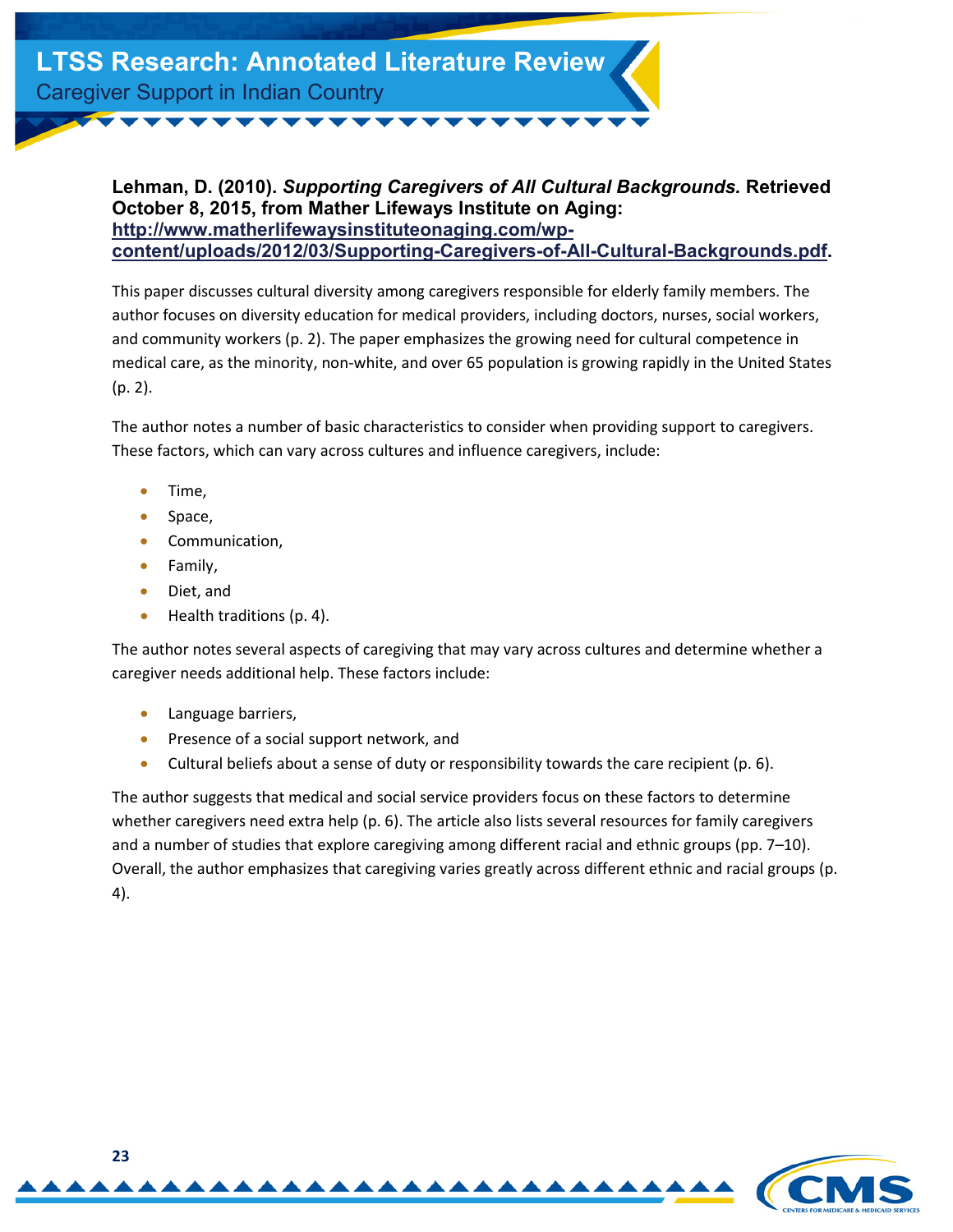<span id="page-22-0"></span>**Lehman, D. (2010).** *Supporting Caregivers of All Cultural Backgrounds.* **Retrieved October 8, 2015, from Mather Lifeways Institute on Aging: http://www.matherlifewaysinstituteonaging.com/wp[content/uploads/2012/03/Supporting-Caregivers-of-All-Cultural-Backgrounds.pdf.](http://www.matherlifewaysinstituteonaging.com/wp-content/uploads/2012/03/Supporting-Caregivers-of-All-Cultural-Backgrounds.pdf)** 

This paper discusses cultural diversity among caregivers responsible for elderly family members. The author focuses on diversity education for medical providers, including doctors, nurses, social workers, and community workers (p. 2). The paper emphasizes the growing need for cultural competence in medical care, as the minority, non-white, and over 65 population is growing rapidly in the United States (p. 2).

The author notes a number of basic characteristics to consider when providing support to caregivers. These factors, which can vary across cultures and influence caregivers, include:

- Time,
- Space,
- Communication,
- Family,
- Diet, and
- Health traditions (p. 4).

The author notes several aspects of caregiving that may vary across cultures and determine whether a caregiver needs additional help. These factors include:

- Language barriers,
- Presence of a social support network, and
- Cultural beliefs about a sense of duty or responsibility towards the care recipient (p. 6).

The author suggests that medical and social service providers focus on these factors to determine whether caregivers need extra help (p. 6). The article also lists several resources for family caregivers and a number of studies that explore caregiving among different racial and ethnic groups (pp. 7–10). Overall, the author emphasizes that caregiving varies greatly across different ethnic and racial groups (p. 4).

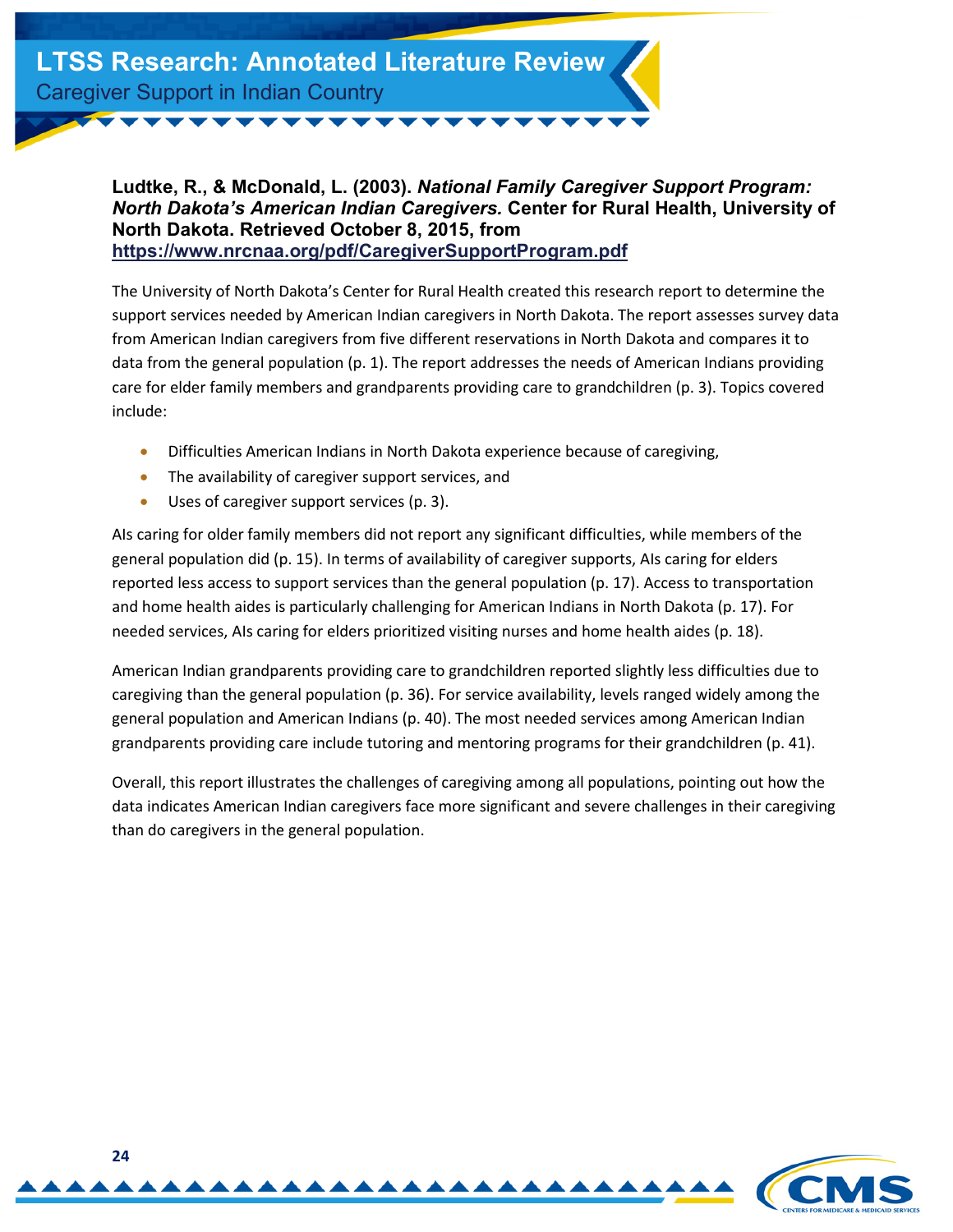

<span id="page-23-0"></span>**Ludtke, R., & McDonald, L. (2003).** *National Family Caregiver Support Program: North Dakota's American Indian Caregivers.* **Center for Rural Health, University of North Dakota. Retrieved October 8, 2015, from <https://www.nrcnaa.org/pdf/CaregiverSupportProgram.pdf>**

The University of North Dakota's Center for Rural Health created this research report to determine the support services needed by American Indian caregivers in North Dakota. The report assesses survey data from American Indian caregivers from five different reservations in North Dakota and compares it to data from the general population (p. 1). The report addresses the needs of American Indians providing care for elder family members and grandparents providing care to grandchildren (p. 3). Topics covered include:

- Difficulties American Indians in North Dakota experience because of caregiving,
- The availability of caregiver support services, and
- Uses of caregiver support services (p. 3).

AIs caring for older family members did not report any significant difficulties, while members of the general population did (p. 15). In terms of availability of caregiver supports, AIs caring for elders reported less access to support services than the general population (p. 17). Access to transportation and home health aides is particularly challenging for American Indians in North Dakota (p. 17). For needed services, AIs caring for elders prioritized visiting nurses and home health aides (p. 18).

American Indian grandparents providing care to grandchildren reported slightly less difficulties due to caregiving than the general population (p. 36). For service availability, levels ranged widely among the general population and American Indians (p. 40). The most needed services among American Indian grandparents providing care include tutoring and mentoring programs for their grandchildren (p. 41).

Overall, this report illustrates the challenges of caregiving among all populations, pointing out how the data indicates American Indian caregivers face more significant and severe challenges in their caregiving than do caregivers in the general population.

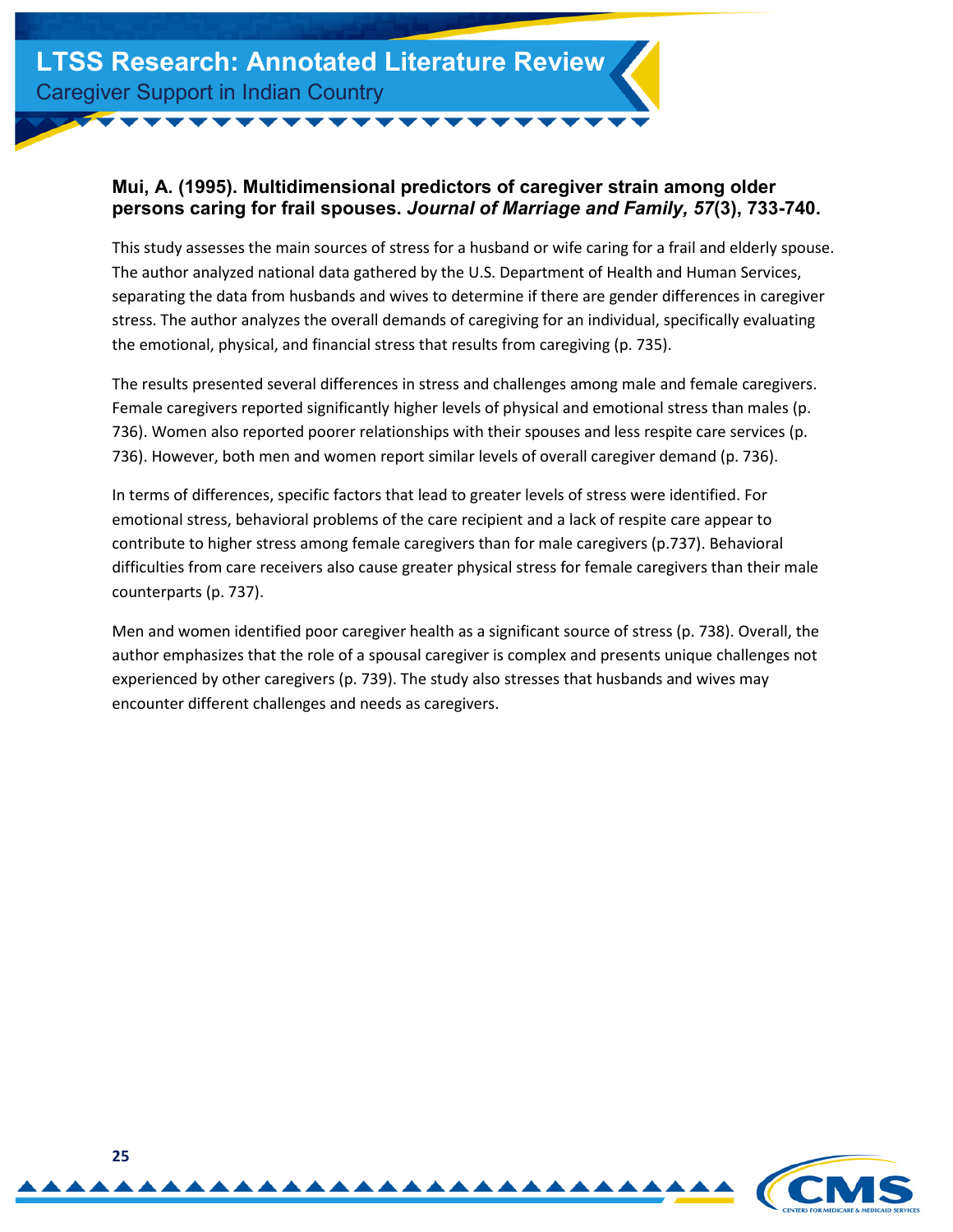#### <span id="page-24-0"></span>**Mui, A. (1995). Multidimensional predictors of caregiver strain among older persons caring for frail spouses.** *Journal of Marriage and Family, 57***(3), 733-740.**

This study assesses the main sources of stress for a husband or wife caring for a frail and elderly spouse. The author analyzed national data gathered by the U.S. Department of Health and Human Services, separating the data from husbands and wives to determine if there are gender differences in caregiver stress. The author analyzes the overall demands of caregiving for an individual, specifically evaluating the emotional, physical, and financial stress that results from caregiving (p. 735).

The results presented several differences in stress and challenges among male and female caregivers. Female caregivers reported significantly higher levels of physical and emotional stress than males (p. 736). Women also reported poorer relationships with their spouses and less respite care services (p. 736). However, both men and women report similar levels of overall caregiver demand (p. 736).

In terms of differences, specific factors that lead to greater levels of stress were identified. For emotional stress, behavioral problems of the care recipient and a lack of respite care appear to contribute to higher stress among female caregivers than for male caregivers (p.737). Behavioral difficulties from care receivers also cause greater physical stress for female caregivers than their male counterparts (p. 737).

Men and women identified poor caregiver health as a significant source of stress (p. 738). Overall, the author emphasizes that the role of a spousal caregiver is complex and presents unique challenges not experienced by other caregivers (p. 739). The study also stresses that husbands and wives may encounter different challenges and needs as caregivers.

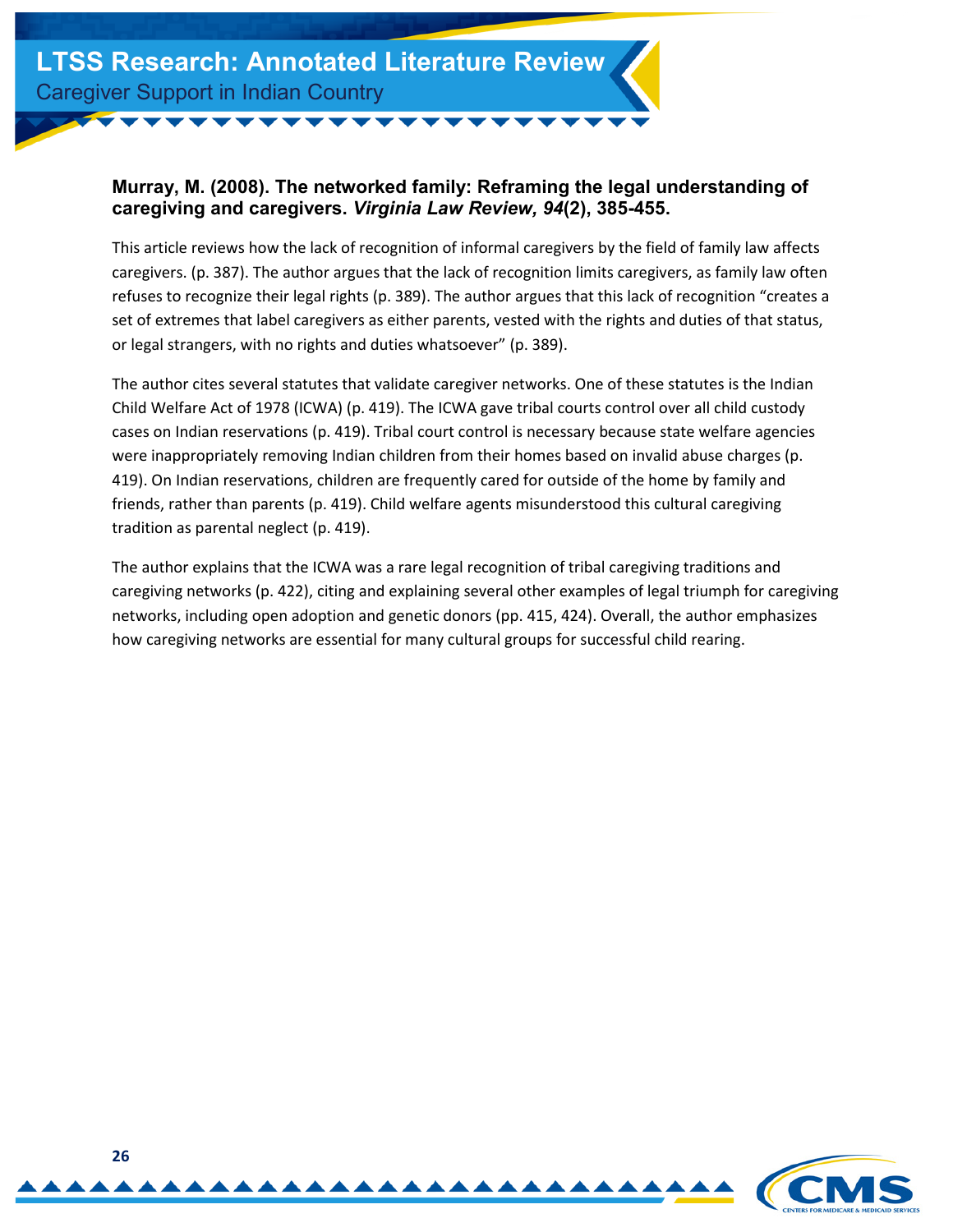#### <span id="page-25-0"></span>**Murray, M. (2008). The networked family: Reframing the legal understanding of caregiving and caregivers.** *Virginia Law Review, 94***(2), 385-455.**

This article reviews how the lack of recognition of informal caregivers by the field of family law affects caregivers. (p. 387). The author argues that the lack of recognition limits caregivers, as family law often refuses to recognize their legal rights (p. 389). The author argues that this lack of recognition "creates a set of extremes that label caregivers as either parents, vested with the rights and duties of that status, or legal strangers, with no rights and duties whatsoever" (p. 389).

The author cites several statutes that validate caregiver networks. One of these statutes is the Indian Child Welfare Act of 1978 (ICWA) (p. 419). The ICWA gave tribal courts control over all child custody cases on Indian reservations (p. 419). Tribal court control is necessary because state welfare agencies were inappropriately removing Indian children from their homes based on invalid abuse charges (p. 419). On Indian reservations, children are frequently cared for outside of the home by family and friends, rather than parents (p. 419). Child welfare agents misunderstood this cultural caregiving tradition as parental neglect (p. 419).

The author explains that the ICWA was a rare legal recognition of tribal caregiving traditions and caregiving networks (p. 422), citing and explaining several other examples of legal triumph for caregiving networks, including open adoption and genetic donors (pp. 415, 424). Overall, the author emphasizes how caregiving networks are essential for many cultural groups for successful child rearing.

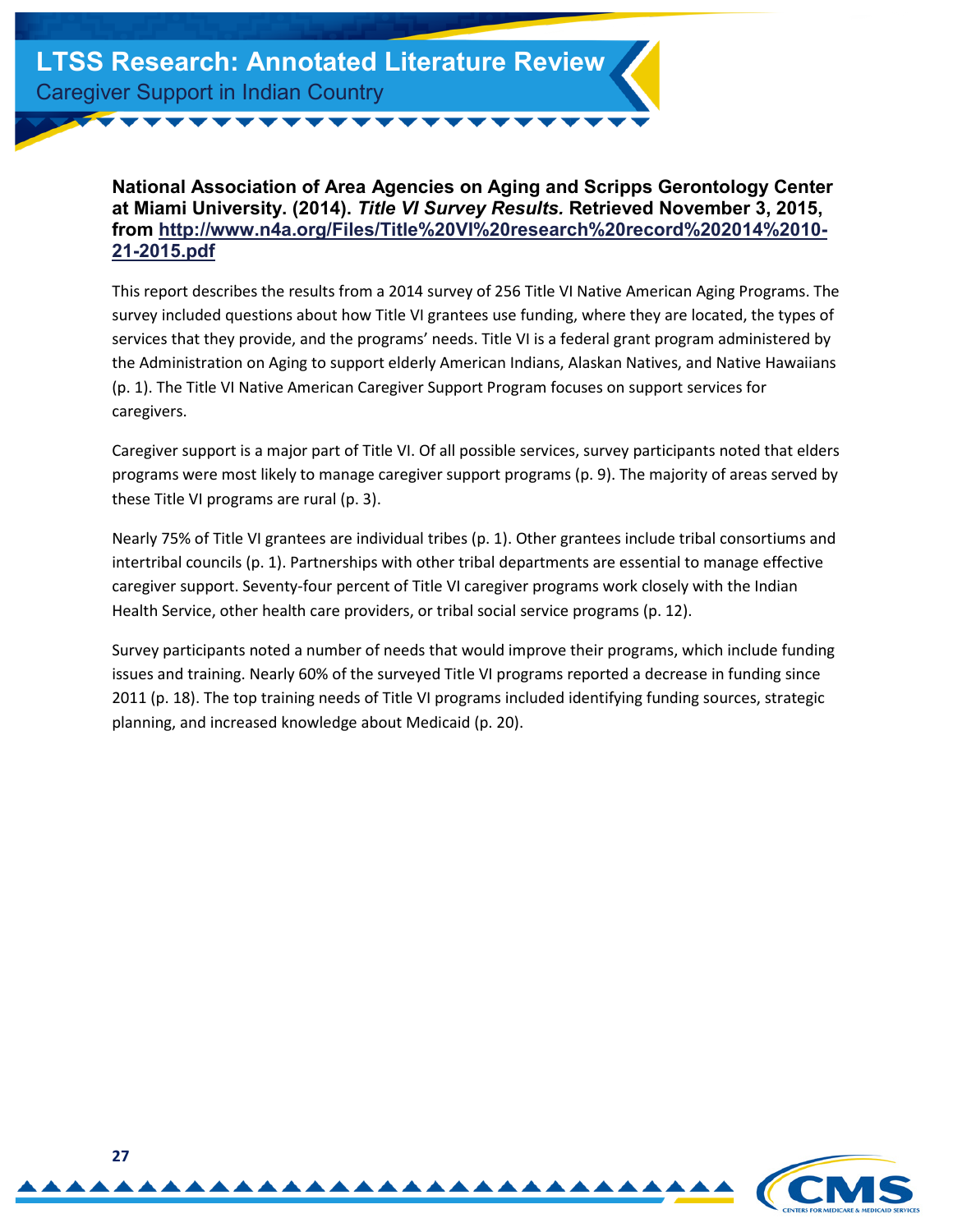#### <span id="page-26-0"></span>**National Association of Area Agencies on Aging and Scripps Gerontology Center at Miami University. (2014).** *Title VI Survey Results.* **Retrieved November 3, 2015, [from http://www.n4a.org/Files/Title%20VI%20research%20record%202014%2010-](http://www.n4a.org/Files/Title%20VI%20research%20record%202014%2010-21-2015.pdf) 21-2015.pdf**

This report describes the results from a 2014 survey of 256 Title VI Native American Aging Programs. The survey included questions about how Title VI grantees use funding, where they are located, the types of services that they provide, and the programs' needs. Title VI is a federal grant program administered by the Administration on Aging to support elderly American Indians, Alaskan Natives, and Native Hawaiians (p. 1). The Title VI Native American Caregiver Support Program focuses on support services for caregivers.

Caregiver support is a major part of Title VI. Of all possible services, survey participants noted that elders programs were most likely to manage caregiver support programs (p. 9). The majority of areas served by these Title VI programs are rural (p. 3).

Nearly 75% of Title VI grantees are individual tribes (p. 1). Other grantees include tribal consortiums and intertribal councils (p. 1). Partnerships with other tribal departments are essential to manage effective caregiver support. Seventy-four percent of Title VI caregiver programs work closely with the Indian Health Service, other health care providers, or tribal social service programs (p. 12).

Survey participants noted a number of needs that would improve their programs, which include funding issues and training. Nearly 60% of the surveyed Title VI programs reported a decrease in funding since 2011 (p. 18). The top training needs of Title VI programs included identifying funding sources, strategic planning, and increased knowledge about Medicaid (p. 20).

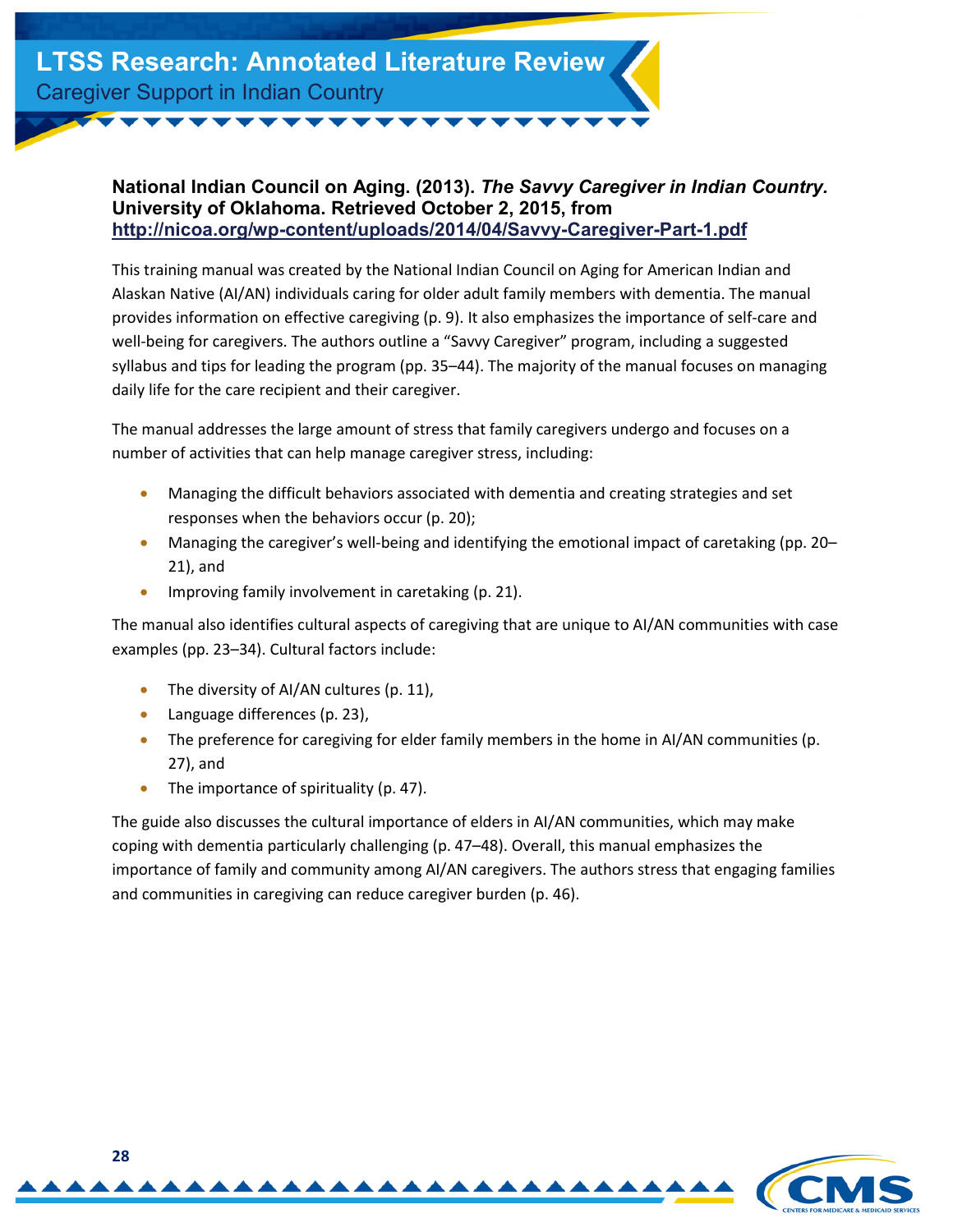#### <span id="page-27-0"></span>**National Indian Council on Aging. (2013).** *The Savvy Caregiver in Indian Country.* **University of Oklahoma. Retrieved October 2, 2015, from <http://nicoa.org/wp-content/uploads/2014/04/Savvy-Caregiver-Part-1.pdf>**

This training manual was created by the National Indian Council on Aging for American Indian and Alaskan Native (AI/AN) individuals caring for older adult family members with dementia. The manual provides information on effective caregiving (p. 9). It also emphasizes the importance of self-care and well-being for caregivers. The authors outline a "Savvy Caregiver" program, including a suggested syllabus and tips for leading the program (pp. 35–44). The majority of the manual focuses on managing daily life for the care recipient and their caregiver.

The manual addresses the large amount of stress that family caregivers undergo and focuses on a number of activities that can help manage caregiver stress, including:

- Managing the difficult behaviors associated with dementia and creating strategies and set responses when the behaviors occur (p. 20);
- Managing the caregiver's well-being and identifying the emotional impact of caretaking (pp. 20– 21), and
- Improving family involvement in caretaking (p. 21).

The manual also identifies cultural aspects of caregiving that are unique to AI/AN communities with case examples (pp. 23–34). Cultural factors include:

- The diversity of AI/AN cultures (p. 11),
- Language differences (p. 23),
- The preference for caregiving for elder family members in the home in AI/AN communities (p. 27), and
- The importance of spirituality (p. 47).

The guide also discusses the cultural importance of elders in AI/AN communities, which may make coping with dementia particularly challenging (p. 47–48). Overall, this manual emphasizes the importance of family and community among AI/AN caregivers. The authors stress that engaging families and communities in caregiving can reduce caregiver burden (p. 46).

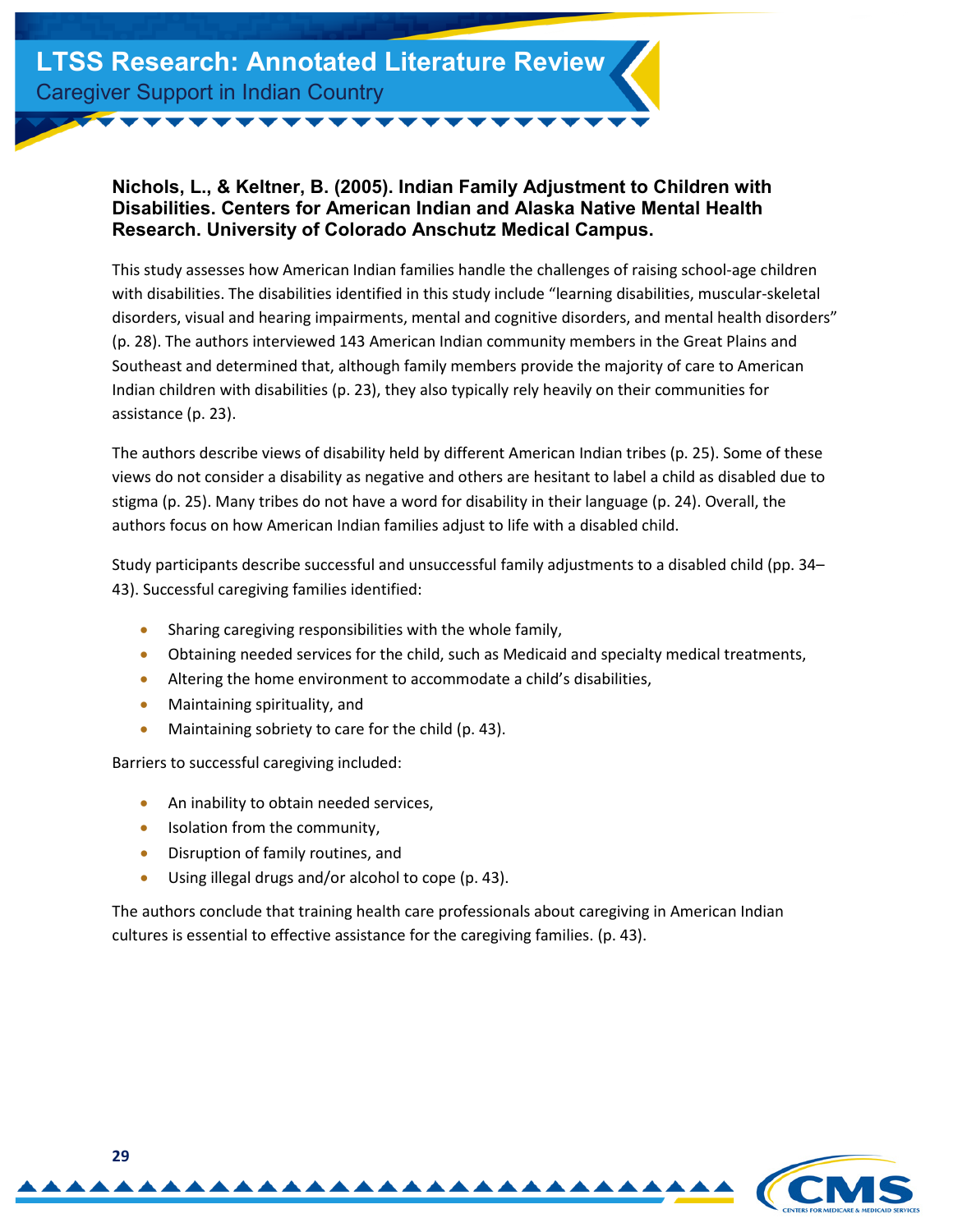#### <span id="page-28-0"></span>**Nichols, L., & Keltner, B. (2005). Indian Family Adjustment to Children with Disabilities. Centers for American Indian and Alaska Native Mental Health Research. University of Colorado Anschutz Medical Campus.**

This study assesses how American Indian families handle the challenges of raising school-age children with disabilities. The disabilities identified in this study include "learning disabilities, muscular-skeletal disorders, visual and hearing impairments, mental and cognitive disorders, and mental health disorders" (p. 28). The authors interviewed 143 American Indian community members in the Great Plains and Southeast and determined that, although family members provide the majority of care to American Indian children with disabilities (p. 23), they also typically rely heavily on their communities for assistance (p. 23).

The authors describe views of disability held by different American Indian tribes (p. 25). Some of these views do not consider a disability as negative and others are hesitant to label a child as disabled due to stigma (p. 25). Many tribes do not have a word for disability in their language (p. 24). Overall, the authors focus on how American Indian families adjust to life with a disabled child.

Study participants describe successful and unsuccessful family adjustments to a disabled child (pp. 34– 43). Successful caregiving families identified:

- Sharing caregiving responsibilities with the whole family,
- Obtaining needed services for the child, such as Medicaid and specialty medical treatments,
- Altering the home environment to accommodate a child's disabilities,
- Maintaining spirituality, and
- Maintaining sobriety to care for the child (p. 43).

Barriers to successful caregiving included:

- An inability to obtain needed services,
- Isolation from the community,
- Disruption of family routines, and
- Using illegal drugs and/or alcohol to cope (p. 43).

The authors conclude that training health care professionals about caregiving in American Indian cultures is essential to effective assistance for the caregiving families. (p. 43).

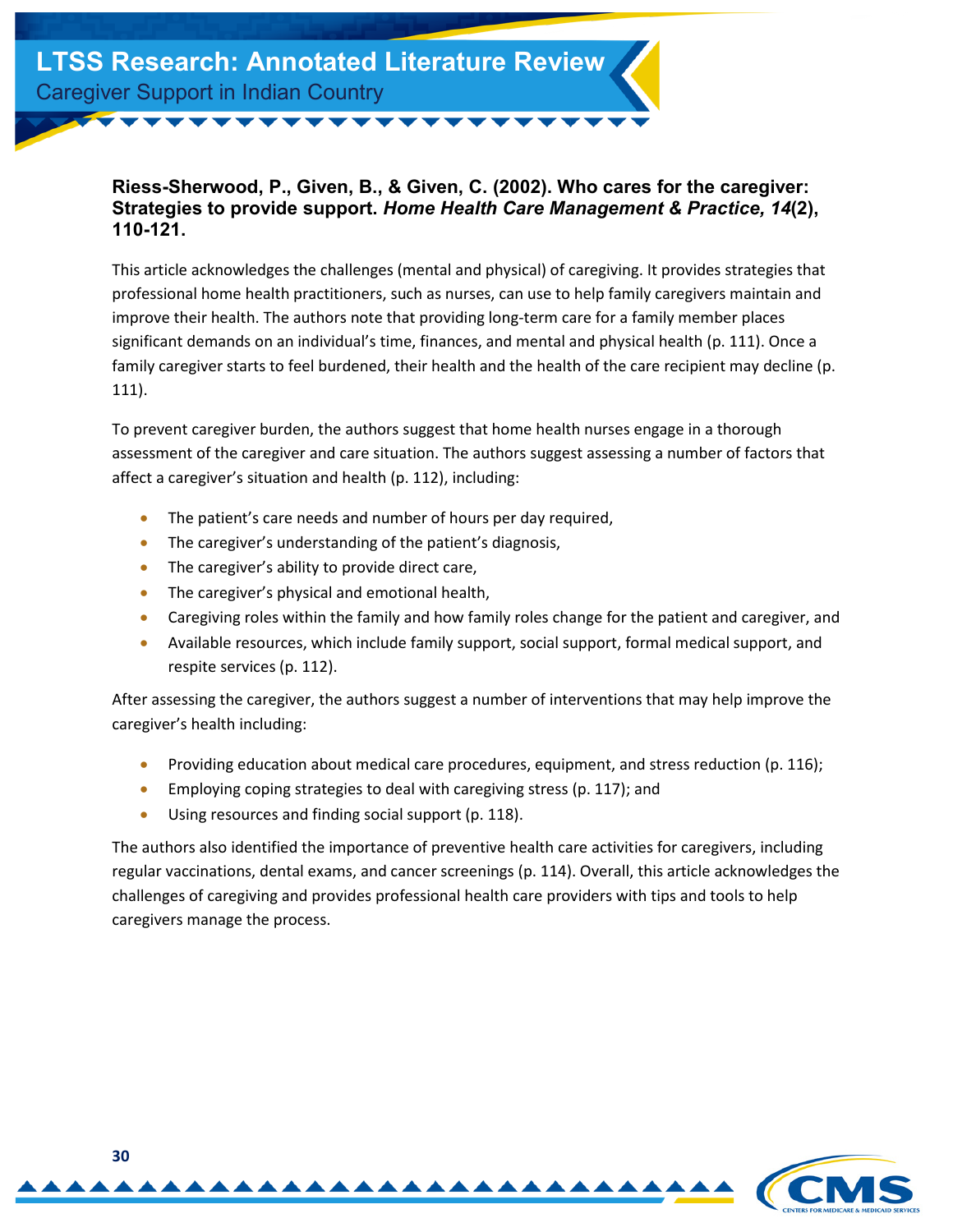#### <span id="page-29-0"></span>**Riess-Sherwood, P., Given, B., & Given, C. (2002). Who cares for the caregiver: Strategies to provide support.** *Home Health Care Management & Practice, 14***(2), 110-121.**

This article acknowledges the challenges (mental and physical) of caregiving. It provides strategies that professional home health practitioners, such as nurses, can use to help family caregivers maintain and improve their health. The authors note that providing long-term care for a family member places significant demands on an individual's time, finances, and mental and physical health (p. 111). Once a family caregiver starts to feel burdened, their health and the health of the care recipient may decline (p. 111).

To prevent caregiver burden, the authors suggest that home health nurses engage in a thorough assessment of the caregiver and care situation. The authors suggest assessing a number of factors that affect a caregiver's situation and health (p. 112), including:

- The patient's care needs and number of hours per day required,
- The caregiver's understanding of the patient's diagnosis,
- The caregiver's ability to provide direct care,
- The caregiver's physical and emotional health,
- Caregiving roles within the family and how family roles change for the patient and caregiver, and
- Available resources, which include family support, social support, formal medical support, and respite services (p. 112).

After assessing the caregiver, the authors suggest a number of interventions that may help improve the caregiver's health including:

- Providing education about medical care procedures, equipment, and stress reduction (p. 116);
- Employing coping strategies to deal with caregiving stress (p. 117); and
- Using resources and finding social support (p. 118).

The authors also identified the importance of preventive health care activities for caregivers, including regular vaccinations, dental exams, and cancer screenings (p. 114). Overall, this article acknowledges the challenges of caregiving and provides professional health care providers with tips and tools to help caregivers manage the process.

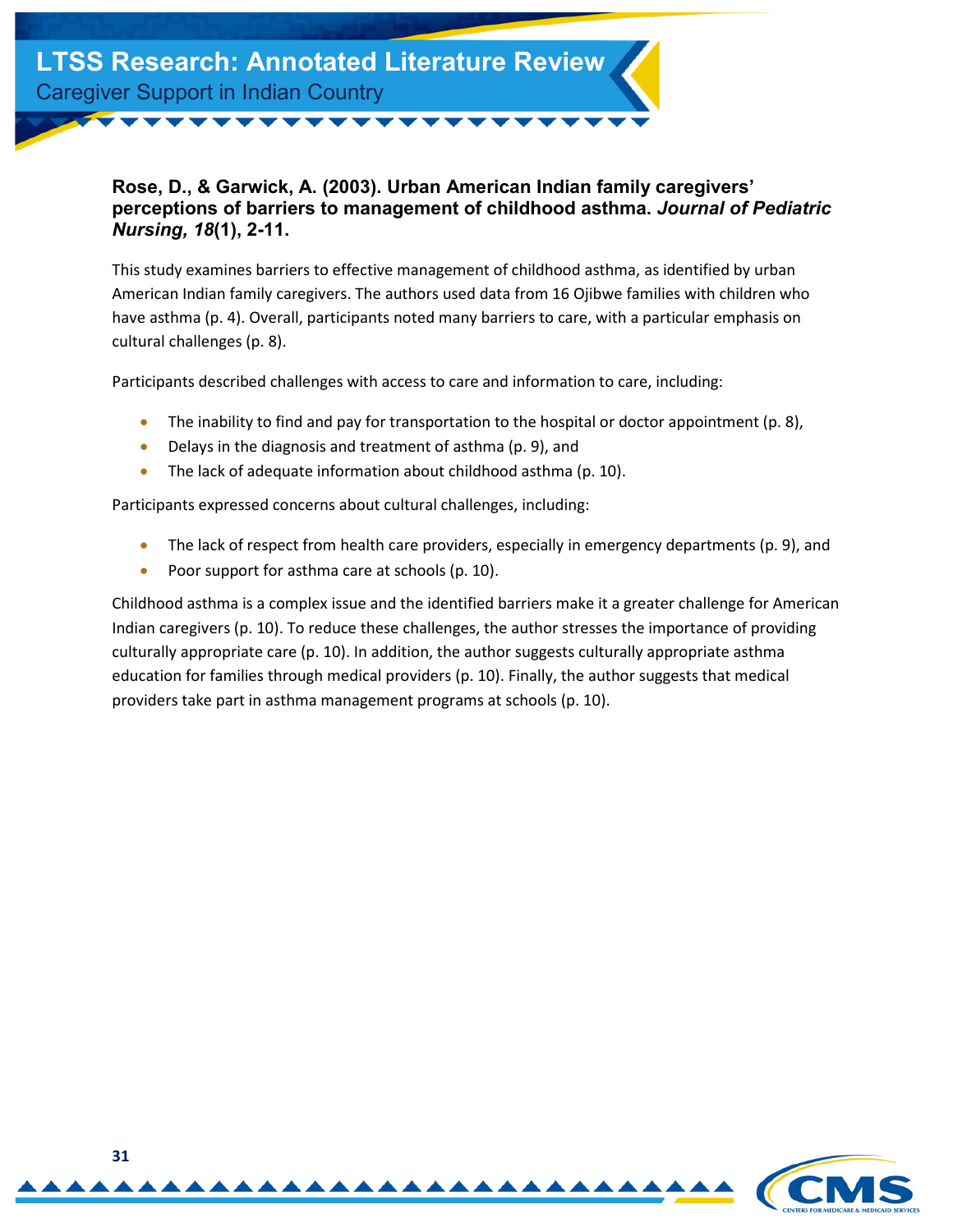**LTSS Research: Annotated Literature Review** Caregiver Support in Indian Country

#### <span id="page-30-0"></span>**Rose, D., & Garwick, A. (2003). Urban American Indian family caregivers' perceptions of barriers to management of childhood asthma.** *Journal of Pediatric Nursing, 18***(1), 2-11.**

This study examines barriers to effective management of childhood asthma, as identified by urban American Indian family caregivers. The authors used data from 16 Ojibwe families with children who have asthma (p. 4). Overall, participants noted many barriers to care, with a particular emphasis on cultural challenges (p. 8).

Participants described challenges with access to care and information to care, including:

- The inability to find and pay for transportation to the hospital or doctor appointment (p. 8),
- Delays in the diagnosis and treatment of asthma (p. 9), and
- The lack of adequate information about childhood asthma (p. 10).

Participants expressed concerns about cultural challenges, including:

- The lack of respect from health care providers, especially in emergency departments (p. 9), and
- Poor support for asthma care at schools (p. 10).

Childhood asthma is a complex issue and the identified barriers make it a greater challenge for American Indian caregivers (p. 10). To reduce these challenges, the author stresses the importance of providing culturally appropriate care (p. 10). In addition, the author suggests culturally appropriate asthma education for families through medical providers (p. 10). Finally, the author suggests that medical providers take part in asthma management programs at schools (p. 10).

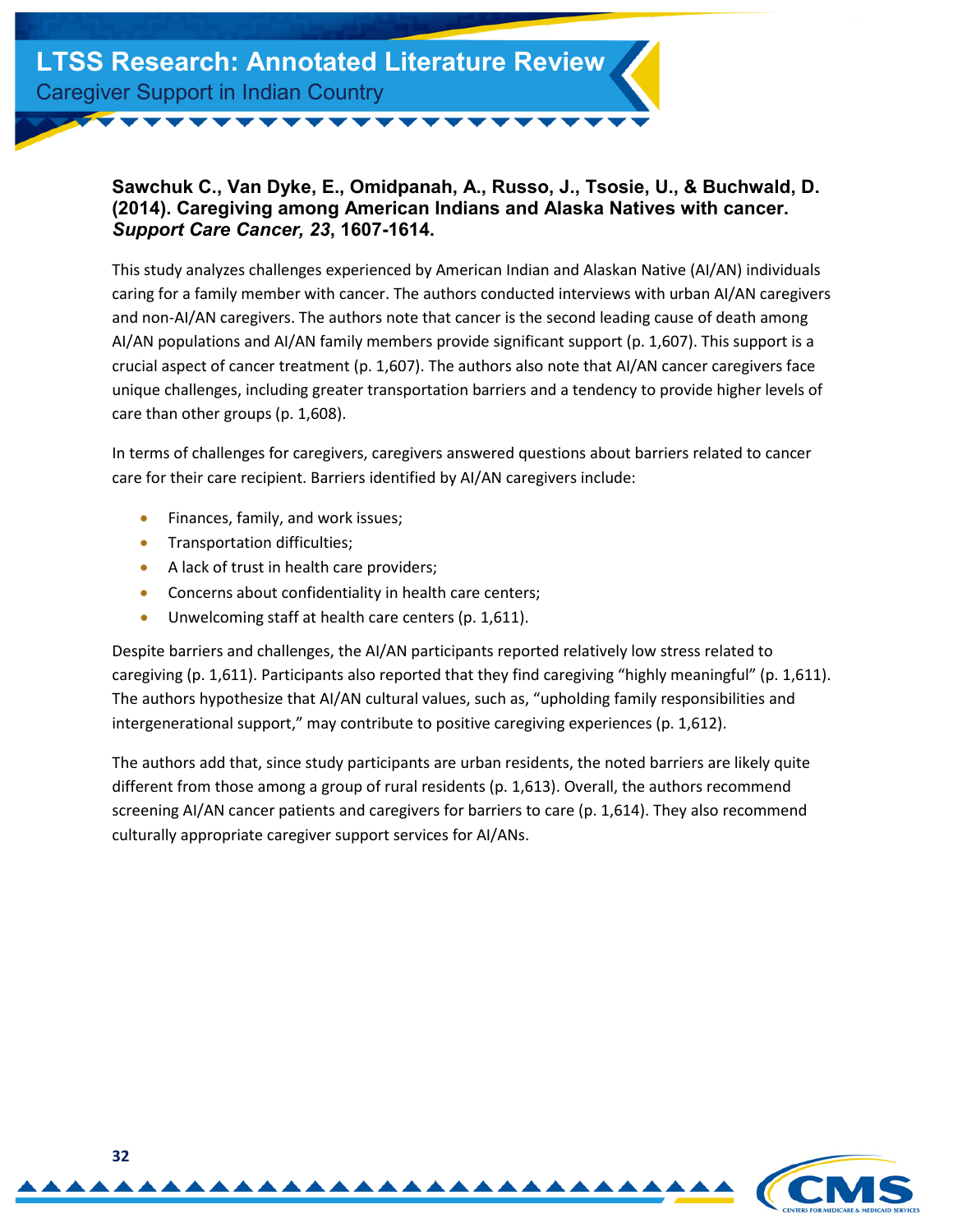

#### <span id="page-31-0"></span>**Sawchuk C., Van Dyke, E., Omidpanah, A., Russo, J., Tsosie, U., & Buchwald, D. (2014). Caregiving among American Indians and Alaska Natives with cancer.**  *Support Care Cancer, 23***, 1607-1614.**

This study analyzes challenges experienced by American Indian and Alaskan Native (AI/AN) individuals caring for a family member with cancer. The authors conducted interviews with urban AI/AN caregivers and non-AI/AN caregivers. The authors note that cancer is the second leading cause of death among AI/AN populations and AI/AN family members provide significant support (p. 1,607). This support is a crucial aspect of cancer treatment (p. 1,607). The authors also note that AI/AN cancer caregivers face unique challenges, including greater transportation barriers and a tendency to provide higher levels of care than other groups (p. 1,608).

In terms of challenges for caregivers, caregivers answered questions about barriers related to cancer care for their care recipient. Barriers identified by AI/AN caregivers include:

- Finances, family, and work issues;
- Transportation difficulties;
- A lack of trust in health care providers;
- Concerns about confidentiality in health care centers;
- Unwelcoming staff at health care centers (p. 1,611).

Despite barriers and challenges, the AI/AN participants reported relatively low stress related to caregiving (p. 1,611). Participants also reported that they find caregiving "highly meaningful" (p. 1,611). The authors hypothesize that AI/AN cultural values, such as, "upholding family responsibilities and intergenerational support," may contribute to positive caregiving experiences (p. 1,612).

The authors add that, since study participants are urban residents, the noted barriers are likely quite different from those among a group of rural residents (p. 1,613). Overall, the authors recommend screening AI/AN cancer patients and caregivers for barriers to care (p. 1,614). They also recommend culturally appropriate caregiver support services for AI/ANs.

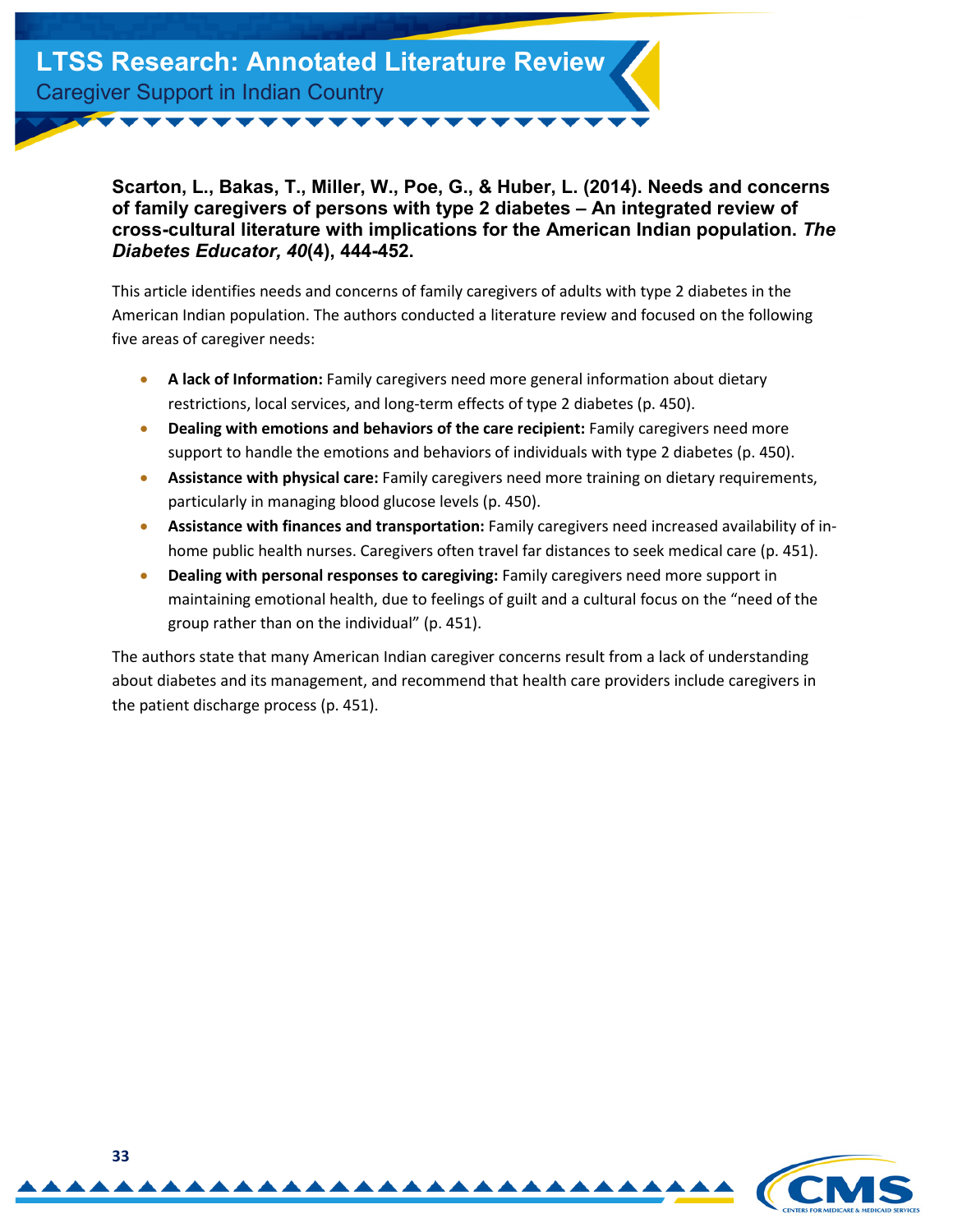<span id="page-32-0"></span>**Scarton, L., Bakas, T., Miller, W., Poe, G., & Huber, L. (2014). Needs and concerns of family caregivers of persons with type 2 diabetes – An integrated review of cross-cultural literature with implications for the American Indian population.** *The Diabetes Educator, 40***(4), 444-452.**

This article identifies needs and concerns of family caregivers of adults with type 2 diabetes in the American Indian population. The authors conducted a literature review and focused on the following five areas of caregiver needs:

- **A lack of Information:** Family caregivers need more general information about dietary restrictions, local services, and long-term effects of type 2 diabetes (p. 450).
- **Dealing with emotions and behaviors of the care recipient:** Family caregivers need more support to handle the emotions and behaviors of individuals with type 2 diabetes (p. 450).
- **Assistance with physical care:** Family caregivers need more training on dietary requirements, particularly in managing blood glucose levels (p. 450).
- **Assistance with finances and transportation:** Family caregivers need increased availability of inhome public health nurses. Caregivers often travel far distances to seek medical care (p. 451).
- **Dealing with personal responses to caregiving:** Family caregivers need more support in maintaining emotional health, due to feelings of guilt and a cultural focus on the "need of the group rather than on the individual" (p. 451).

The authors state that many American Indian caregiver concerns result from a lack of understanding about diabetes and its management, and recommend that health care providers include caregivers in the patient discharge process (p. 451).

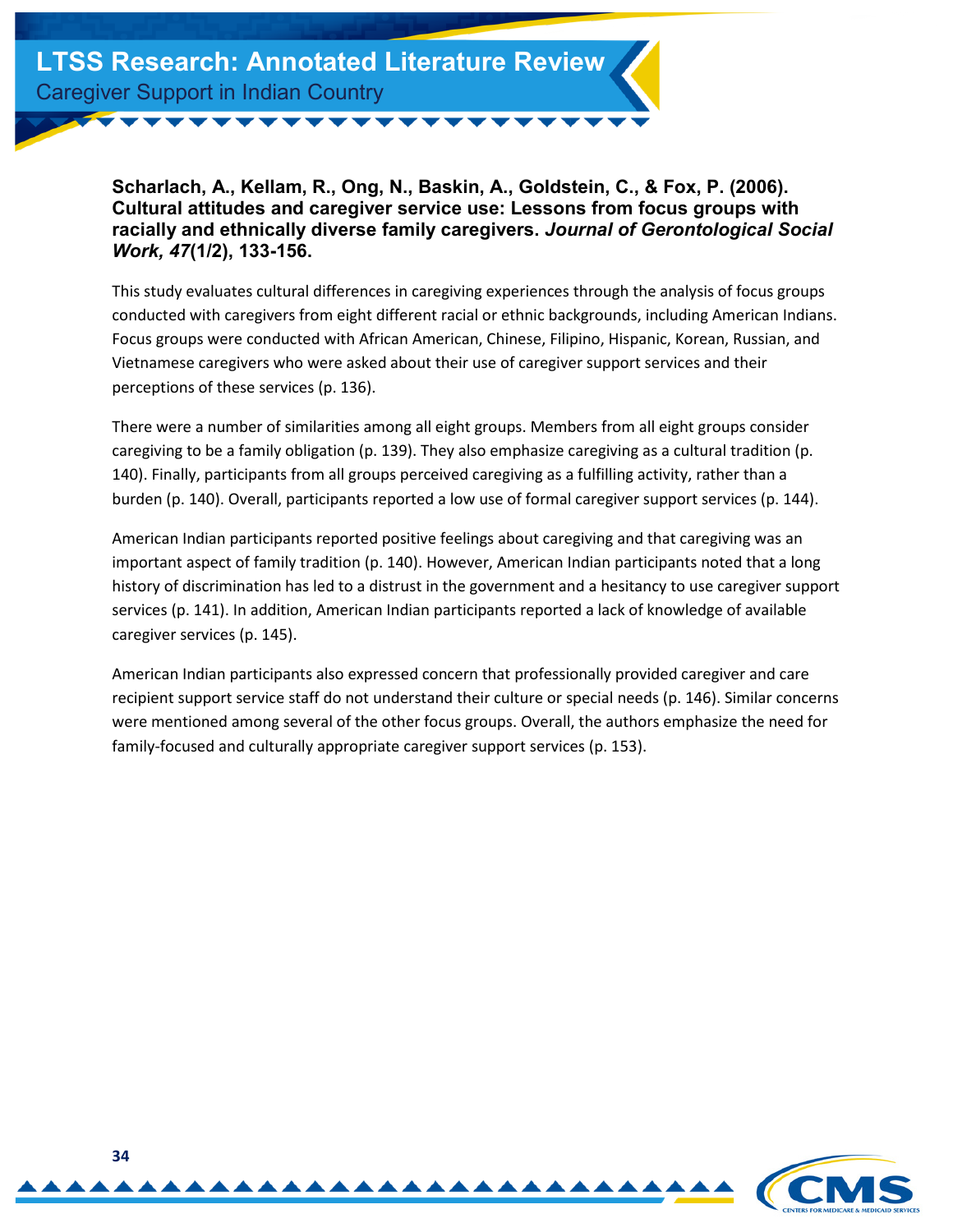

<span id="page-33-0"></span>**Scharlach, A., Kellam, R., Ong, N., Baskin, A., Goldstein, C., & Fox, P. (2006). Cultural attitudes and caregiver service use: Lessons from focus groups with racially and ethnically diverse family caregivers.** *Journal of Gerontological Social Work, 47***(1/2), 133-156.**

This study evaluates cultural differences in caregiving experiences through the analysis of focus groups conducted with caregivers from eight different racial or ethnic backgrounds, including American Indians. Focus groups were conducted with African American, Chinese, Filipino, Hispanic, Korean, Russian, and Vietnamese caregivers who were asked about their use of caregiver support services and their perceptions of these services (p. 136).

There were a number of similarities among all eight groups. Members from all eight groups consider caregiving to be a family obligation (p. 139). They also emphasize caregiving as a cultural tradition (p. 140). Finally, participants from all groups perceived caregiving as a fulfilling activity, rather than a burden (p. 140). Overall, participants reported a low use of formal caregiver support services (p. 144).

American Indian participants reported positive feelings about caregiving and that caregiving was an important aspect of family tradition (p. 140). However, American Indian participants noted that a long history of discrimination has led to a distrust in the government and a hesitancy to use caregiver support services (p. 141). In addition, American Indian participants reported a lack of knowledge of available caregiver services (p. 145).

American Indian participants also expressed concern that professionally provided caregiver and care recipient support service staff do not understand their culture or special needs (p. 146). Similar concerns were mentioned among several of the other focus groups. Overall, the authors emphasize the need for family-focused and culturally appropriate caregiver support services (p. 153).

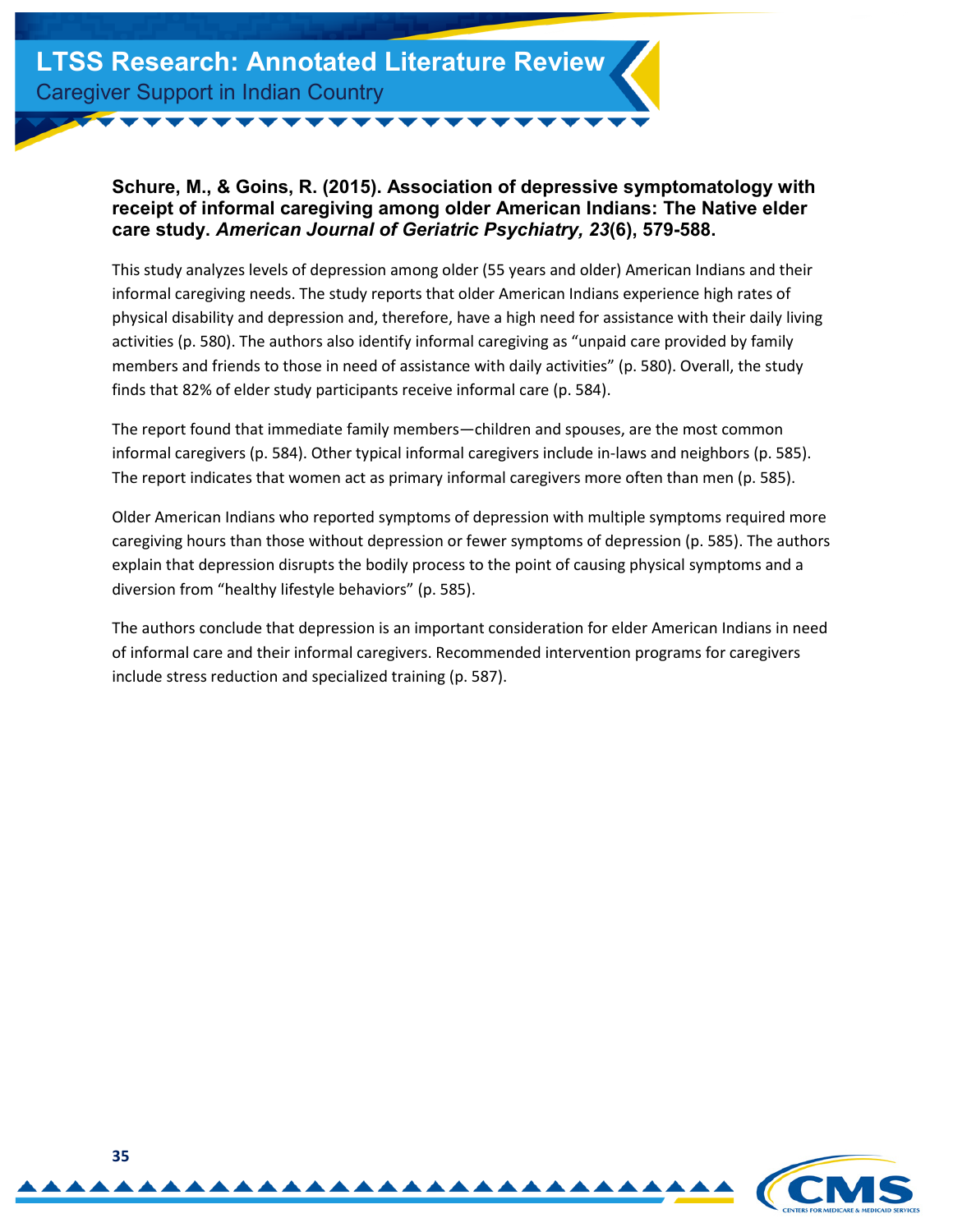#### <span id="page-34-0"></span>**Schure, M., & Goins, R. (2015). Association of depressive symptomatology with receipt of informal caregiving among older American Indians: The Native elder care study.** *American Journal of Geriatric Psychiatry, 23***(6), 579-588.**

This study analyzes levels of depression among older (55 years and older) American Indians and their informal caregiving needs. The study reports that older American Indians experience high rates of physical disability and depression and, therefore, have a high need for assistance with their daily living activities (p. 580). The authors also identify informal caregiving as "unpaid care provided by family members and friends to those in need of assistance with daily activities" (p. 580). Overall, the study finds that 82% of elder study participants receive informal care (p. 584).

The report found that immediate family members—children and spouses, are the most common informal caregivers (p. 584). Other typical informal caregivers include in-laws and neighbors (p. 585). The report indicates that women act as primary informal caregivers more often than men (p. 585).

Older American Indians who reported symptoms of depression with multiple symptoms required more caregiving hours than those without depression or fewer symptoms of depression (p. 585). The authors explain that depression disrupts the bodily process to the point of causing physical symptoms and a diversion from "healthy lifestyle behaviors" (p. 585).

The authors conclude that depression is an important consideration for elder American Indians in need of informal care and their informal caregivers. Recommended intervention programs for caregivers include stress reduction and specialized training (p. 587).

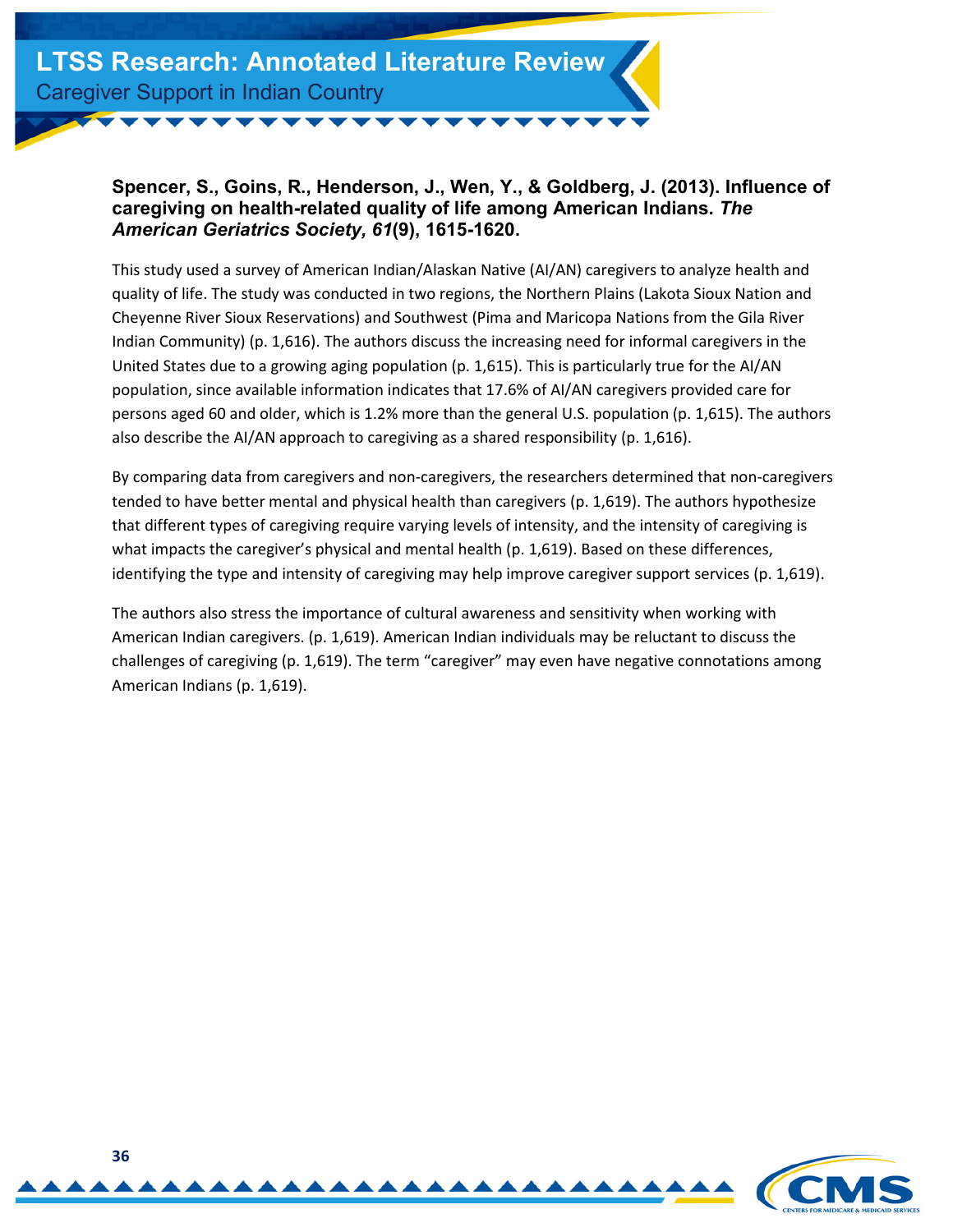

#### <span id="page-35-0"></span>**Spencer, S., Goins, R., Henderson, J., Wen, Y., & Goldberg, J. (2013). Influence of caregiving on health-related quality of life among American Indians.** *The American Geriatrics Society, 61***(9), 1615-1620.**

This study used a survey of American Indian/Alaskan Native (AI/AN) caregivers to analyze health and quality of life. The study was conducted in two regions, the Northern Plains (Lakota Sioux Nation and Cheyenne River Sioux Reservations) and Southwest (Pima and Maricopa Nations from the Gila River Indian Community) (p. 1,616). The authors discuss the increasing need for informal caregivers in the United States due to a growing aging population (p. 1,615). This is particularly true for the AI/AN population, since available information indicates that 17.6% of AI/AN caregivers provided care for persons aged 60 and older, which is 1.2% more than the general U.S. population (p. 1,615). The authors also describe the AI/AN approach to caregiving as a shared responsibility (p. 1,616).

By comparing data from caregivers and non-caregivers, the researchers determined that non-caregivers tended to have better mental and physical health than caregivers (p. 1,619). The authors hypothesize that different types of caregiving require varying levels of intensity, and the intensity of caregiving is what impacts the caregiver's physical and mental health (p. 1,619). Based on these differences, identifying the type and intensity of caregiving may help improve caregiver support services (p. 1,619).

The authors also stress the importance of cultural awareness and sensitivity when working with American Indian caregivers. (p. 1,619). American Indian individuals may be reluctant to discuss the challenges of caregiving (p. 1,619). The term "caregiver" may even have negative connotations among American Indians (p. 1,619).

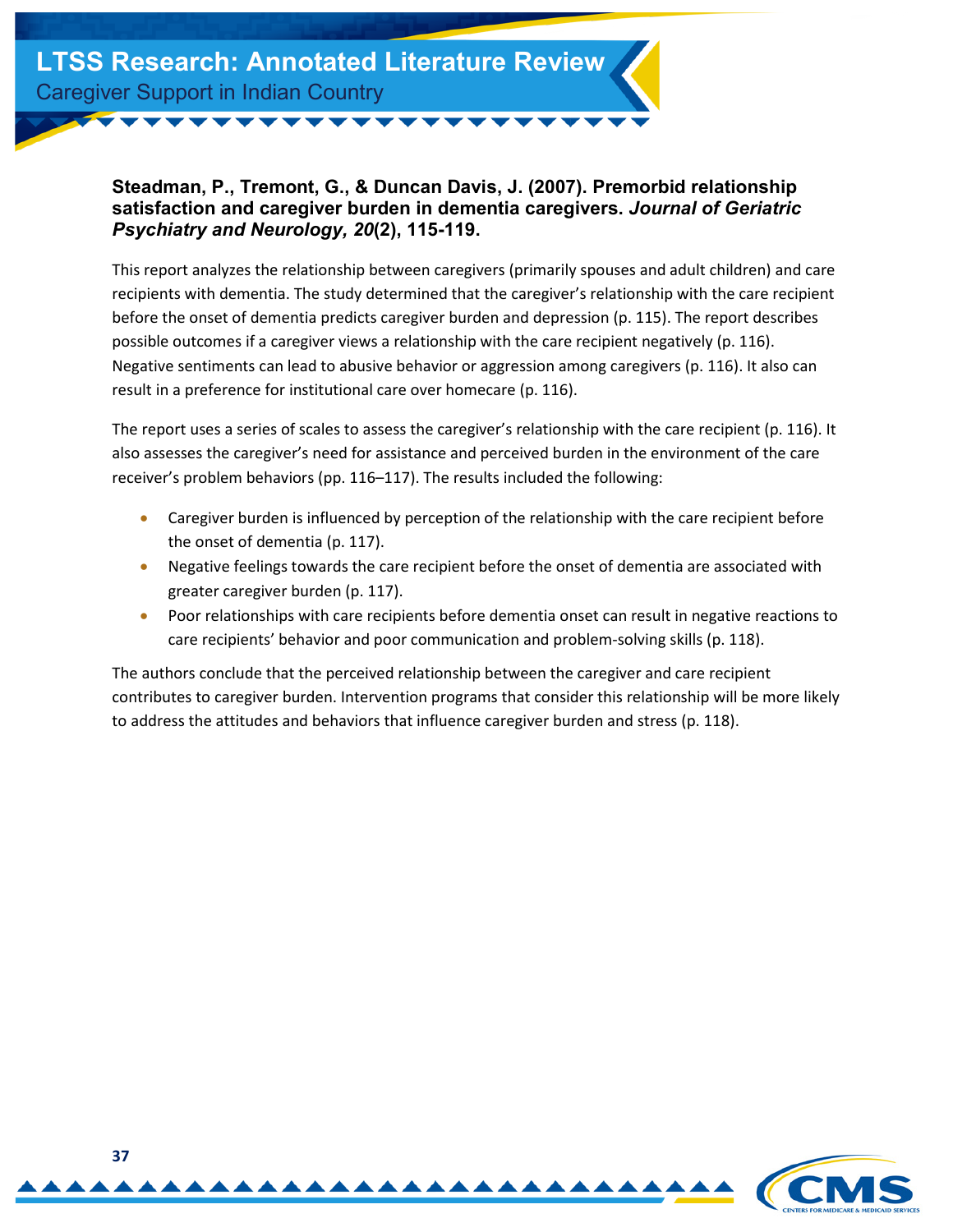

#### <span id="page-36-0"></span>**Steadman, P., Tremont, G., & Duncan Davis, J. (2007). Premorbid relationship satisfaction and caregiver burden in dementia caregivers.** *Journal of Geriatric Psychiatry and Neurology, 20***(2), 115-119.**

This report analyzes the relationship between caregivers (primarily spouses and adult children) and care recipients with dementia. The study determined that the caregiver's relationship with the care recipient before the onset of dementia predicts caregiver burden and depression (p. 115). The report describes possible outcomes if a caregiver views a relationship with the care recipient negatively (p. 116). Negative sentiments can lead to abusive behavior or aggression among caregivers (p. 116). It also can result in a preference for institutional care over homecare (p. 116).

The report uses a series of scales to assess the caregiver's relationship with the care recipient (p. 116). It also assesses the caregiver's need for assistance and perceived burden in the environment of the care receiver's problem behaviors (pp. 116–117). The results included the following:

- Caregiver burden is influenced by perception of the relationship with the care recipient before the onset of dementia (p. 117).
- Negative feelings towards the care recipient before the onset of dementia are associated with greater caregiver burden (p. 117).
- Poor relationships with care recipients before dementia onset can result in negative reactions to care recipients' behavior and poor communication and problem-solving skills (p. 118).

The authors conclude that the perceived relationship between the caregiver and care recipient contributes to caregiver burden. Intervention programs that consider this relationship will be more likely to address the attitudes and behaviors that influence caregiver burden and stress (p. 118).

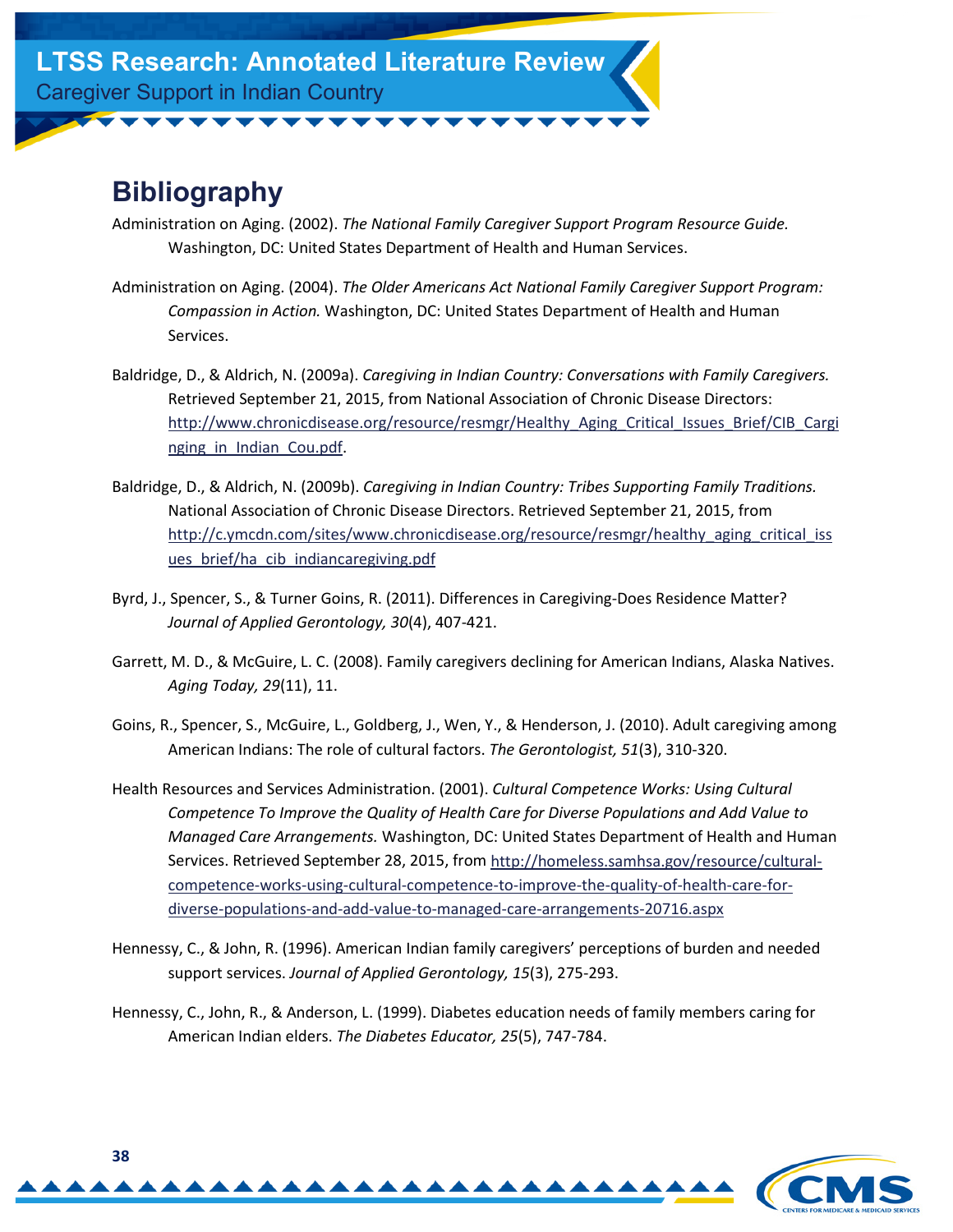## <span id="page-37-0"></span>**Bibliography**

- Administration on Aging. (2002). *The National Family Caregiver Support Program Resource Guide.* Washington, DC: United States Department of Health and Human Services.
- Administration on Aging. (2004). *The Older Americans Act National Family Caregiver Support Program: Compassion in Action.* Washington, DC: United States Department of Health and Human Services.
- Baldridge, D., & Aldrich, N. (2009a). *Caregiving in Indian Country: Conversations with Family Caregivers.* Retrieved September 21, 2015, from National Association of Chronic Disease Directors: [http://www.chronicdisease.org/resource/resmgr/Healthy\\_Aging\\_Critical\\_Issues\\_Brief/CIB\\_Cargi](http://www.chronicdisease.org/resource/resmgr/Healthy_Aging_Critical_Issues_Brief/CIB_Carginging_in_Indian_Cou.pdf) nging in Indian Cou.pdf.
- Baldridge, D., & Aldrich, N. (2009b). *Caregiving in Indian Country: Tribes Supporting Family Traditions.* National Association of Chronic Disease Directors. Retrieved September 21, 2015, from http://c.ymcdn.com/sites/www.chronicdisease.org/resource/resmgr/healthy aging critical iss ues brief/ha cib indiancaregiving.pdf
- Byrd, J., Spencer, S., & Turner Goins, R. (2011). Differences in Caregiving-Does Residence Matter? *Journal of Applied Gerontology, 30*(4), 407-421.
- Garrett, M. D., & McGuire, L. C. (2008). Family caregivers declining for American Indians, Alaska Natives. *Aging Today, 29*(11), 11.
- Goins, R., Spencer, S., McGuire, L., Goldberg, J., Wen, Y., & Henderson, J. (2010). Adult caregiving among American Indians: The role of cultural factors. *The Gerontologist, 51*(3), 310-320.
- Health Resources and Services Administration. (2001). *Cultural Competence Works: Using Cultural Competence To Improve the Quality of Health Care for Diverse Populations and Add Value to Managed Care Arrangements.* Washington, DC: United States Department of Health and Human [Services. Retrieved September 28, 2015, from http://homeless.samhsa.gov/resource/cultural](http://homeless.samhsa.gov/resource/cultural-competence-works-using-cultural-competence-to-improve-the-quality-of-health-care-for-diverse-populations-and-add-value-to-managed-care-arrangements-20716.aspx)competence-works-using-cultural-competence-to-improve-the-quality-of-health-care-fordiverse-populations-and-add-value-to-managed-care-arrangements-20716.aspx
- Hennessy, C., & John, R. (1996). American Indian family caregivers' perceptions of burden and needed support services. *Journal of Applied Gerontology, 15*(3), 275-293.
- Hennessy, C., John, R., & Anderson, L. (1999). Diabetes education needs of family members caring for American Indian elders. *The Diabetes Educator, 25*(5), 747-784.

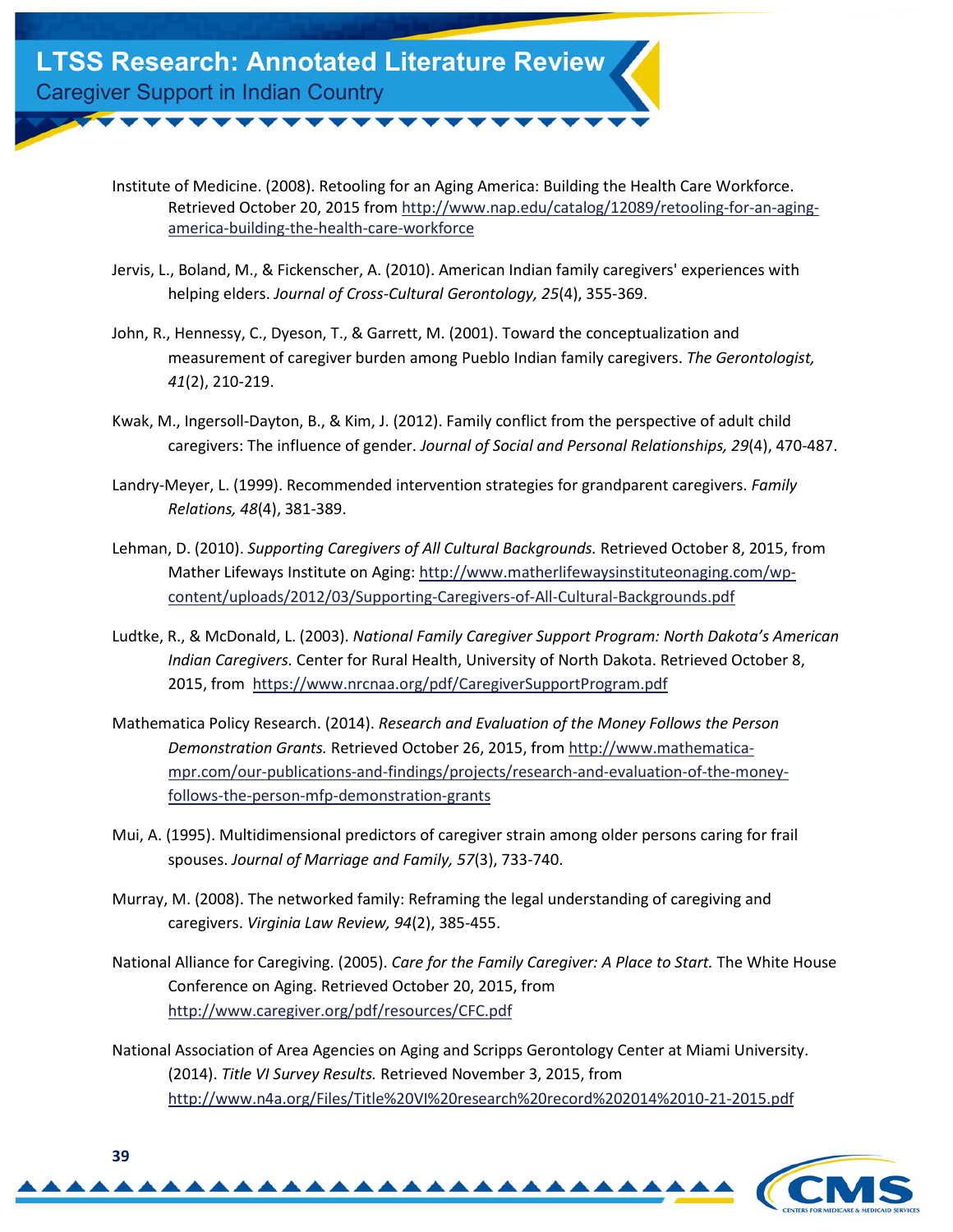Institute of Medicine. (2008). Retooling for an Aging America: Building the Health Care Workforce. [Retrieved October 20, 2015 from http://www.nap.edu/catalog/12089/retooling-for-an-aging](http://www.nap.edu/catalog/12089/retooling-for-an-aging-america-building-the-health-care-workforce)america-building-the-health-care-workforce

- Jervis, L., Boland, M., & Fickenscher, A. (2010). American Indian family caregivers' experiences with helping elders. *Journal of Cross-Cultural Gerontology, 25*(4), 355-369.
- John, R., Hennessy, C., Dyeson, T., & Garrett, M. (2001). Toward the conceptualization and measurement of caregiver burden among Pueblo Indian family caregivers. *The Gerontologist, 41*(2), 210-219.
- Kwak, M., Ingersoll-Dayton, B., & Kim, J. (2012). Family conflict from the perspective of adult child caregivers: The influence of gender. *Journal of Social and Personal Relationships, 29*(4), 470-487.
- Landry-Meyer, L. (1999). Recommended intervention strategies for grandparent caregivers. *Family Relations, 48*(4), 381-389.
- Lehman, D. (2010). *Supporting Caregivers of All Cultural Backgrounds.* Retrieved October 8, 2015, from [Mather Lifeways Institute on Aging: http://www.matherlifewaysinstituteonaging.com/wp](http://www.matherlifewaysinstituteonaging.com/wp-content/uploads/2012/03/Supporting-Caregivers-of-All-Cultural-Backgrounds.pdf)content/uploads/2012/03/Supporting-Caregivers-of-All-Cultural-Backgrounds.pdf
- Ludtke, R., & McDonald, L. (2003). *National Family Caregiver Support Program: North Dakota's American Indian Caregivers.* Center for Rural Health, University of North Dakota. Retrieved October 8, 2015, from  <https://www.nrcnaa.org/pdf/CaregiverSupportProgram.pdf>
- Mathematica Policy Research. (2014). *Research and Evaluation of the Money Follows the Person Demonstration Grants.* Retrieved October 26, 2015, from http://www.mathematica[mpr.com/our-publications-and-findings/projects/research-and-evaluation-of-the-money](http://www.mathematica-mpr.com/our-publications-and-findings/projects/research-and-evaluation-of-the-money-follows-the-person-mfp-demonstration-grants)follows-the-person-mfp-demonstration-grants
- Mui, A. (1995). Multidimensional predictors of caregiver strain among older persons caring for frail spouses. *Journal of Marriage and Family, 57*(3), 733-740.
- Murray, M. (2008). The networked family: Reframing the legal understanding of caregiving and caregivers. *Virginia Law Review, 94*(2), 385-455.
- National Alliance for Caregiving. (2005). *Care for the Family Caregiver: A Place to Start.* The White House Conference on Aging. Retrieved October 20, 2015, from <http://www.caregiver.org/pdf/resources/CFC.pdf>
- National Association of Area Agencies on Aging and Scripps Gerontology Center at Miami University. (2014). *Title VI Survey Results.* Retrieved November 3, 2015, from <http://www.n4a.org/Files/Title%20VI%20research%20record%202014%2010-21-2015.pdf>